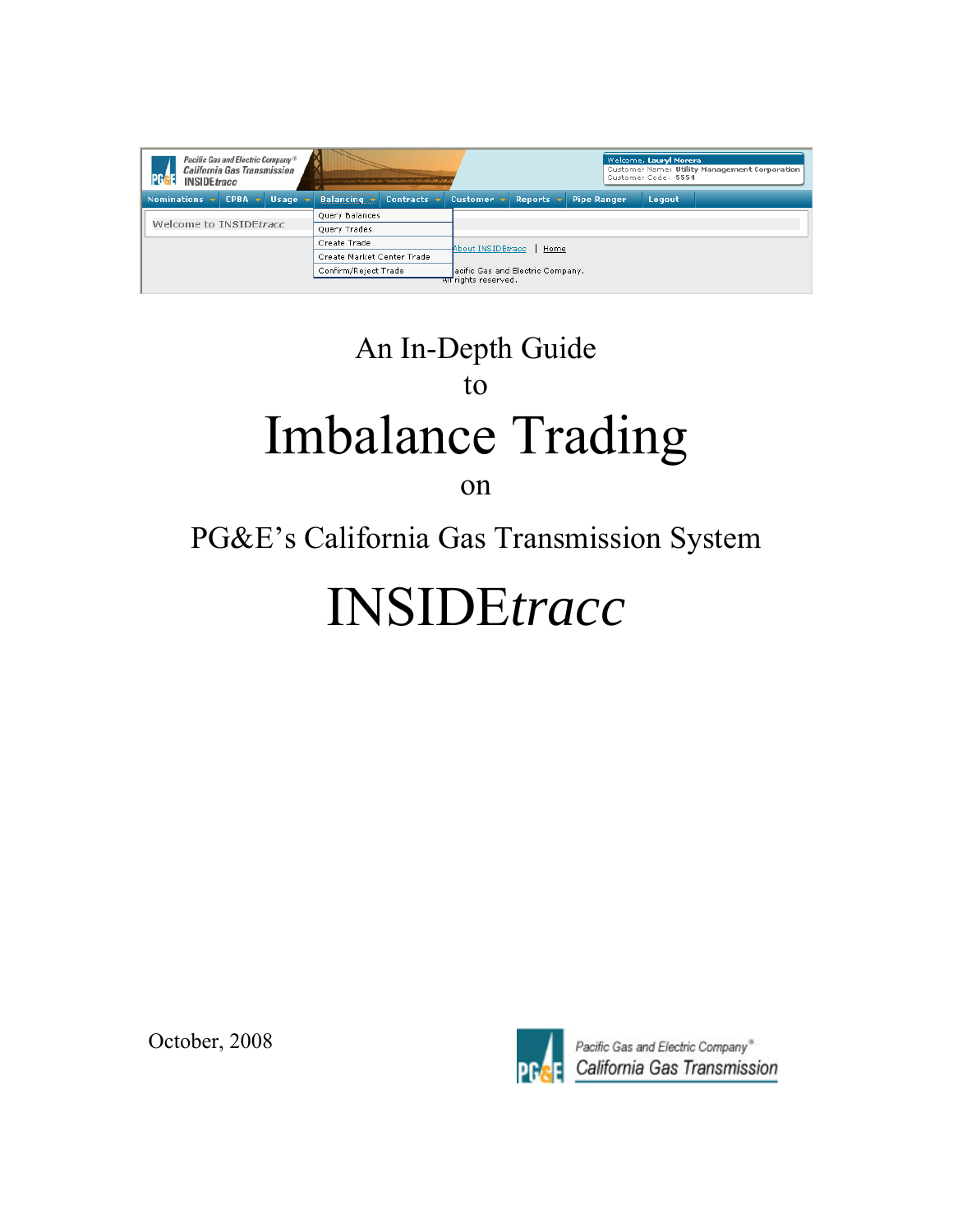| Pacific Gas and Electric Company <sup>®</sup><br><b>California Gas Transmission</b><br><b>INSIDE</b> tracc |             |              |                            | ったらえのスタンスのスピープに含むいますので、こちらのおうなのではないというものがっている。 |                       |                                  |                    | Welcome, Lauryl Morera<br>Customer Code: 5554 | Customer Name: Utility Management Corporation |  |
|------------------------------------------------------------------------------------------------------------|-------------|--------------|----------------------------|------------------------------------------------|-----------------------|----------------------------------|--------------------|-----------------------------------------------|-----------------------------------------------|--|
| <b>Nominations</b>                                                                                         | <b>CPBA</b> | <b>Usage</b> | <b>Balancing</b>           | <b>Contracts</b>                               | Customer <sub>v</sub> | <b>Reports</b>                   | <b>Pipe Ranger</b> | Logout                                        |                                               |  |
|                                                                                                            |             |              | Query Balances             |                                                |                       |                                  |                    |                                               |                                               |  |
| Welcome to INSIDEtracc                                                                                     |             |              | <b>Query Trades</b>        |                                                |                       |                                  |                    |                                               |                                               |  |
|                                                                                                            |             |              | Create Trade               |                                                |                       | About INSIDEtracc<br>Home        |                    |                                               |                                               |  |
|                                                                                                            |             |              | Create Market Center Trade |                                                |                       |                                  |                    |                                               |                                               |  |
|                                                                                                            |             |              | Confirm/Reject Trade       |                                                |                       | acific Gas and Electric Company. |                    |                                               |                                               |  |
|                                                                                                            |             |              |                            |                                                | सा rights reserved.   |                                  |                    |                                               |                                               |  |

# An In-Depth Guide to Imbalance Trading on

## PG&E's California Gas Transmission System

# INSIDE*tracc*

October, 2008



Pacific Gas and Electric Company® California Gas Transmission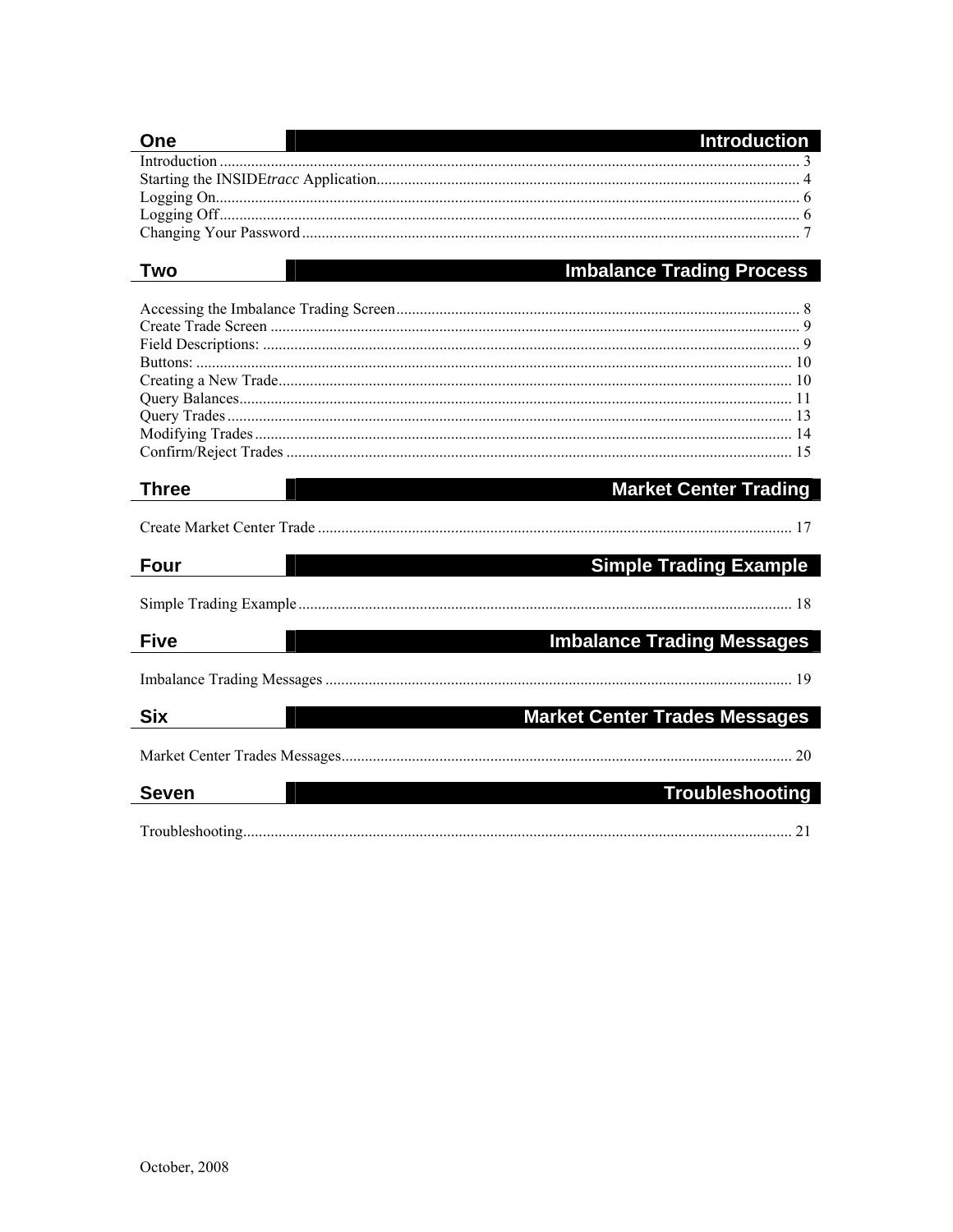| Two<br><b>Market Center Trading</b><br><b>Three</b><br><b>Four</b><br><b>Five</b><br><b>Six</b><br><b>Seven</b> | One | <b>Introduction</b>                                            |
|-----------------------------------------------------------------------------------------------------------------|-----|----------------------------------------------------------------|
|                                                                                                                 |     |                                                                |
|                                                                                                                 |     |                                                                |
|                                                                                                                 |     |                                                                |
|                                                                                                                 |     |                                                                |
|                                                                                                                 |     |                                                                |
|                                                                                                                 |     | <b>Imbalance Trading Process</b>                               |
|                                                                                                                 |     |                                                                |
|                                                                                                                 |     |                                                                |
|                                                                                                                 |     |                                                                |
|                                                                                                                 |     |                                                                |
|                                                                                                                 |     |                                                                |
|                                                                                                                 |     |                                                                |
|                                                                                                                 |     |                                                                |
|                                                                                                                 |     |                                                                |
|                                                                                                                 |     |                                                                |
|                                                                                                                 |     |                                                                |
|                                                                                                                 |     |                                                                |
|                                                                                                                 |     | <b>Simple Trading Example</b>                                  |
|                                                                                                                 |     |                                                                |
|                                                                                                                 |     | <b>Imbalance Trading Messages</b>                              |
|                                                                                                                 |     |                                                                |
|                                                                                                                 |     |                                                                |
|                                                                                                                 |     |                                                                |
|                                                                                                                 |     |                                                                |
|                                                                                                                 |     | <b>Market Center Trades Messages</b><br><b>Troubleshooting</b> |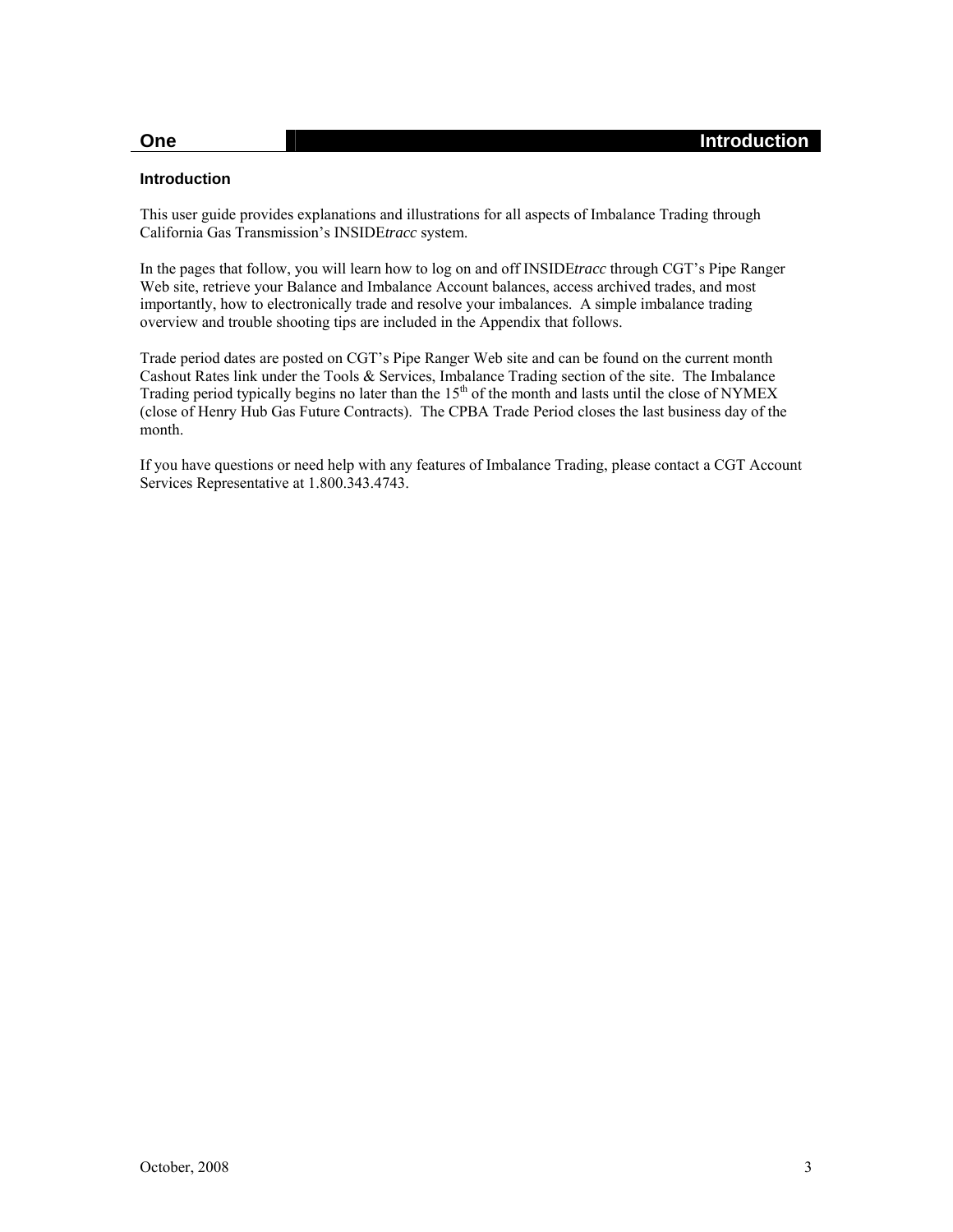#### **One** Introduction **Introduction**

#### <span id="page-2-0"></span>**Introduction**

This user guide provides explanations and illustrations for all aspects of Imbalance Trading through California Gas Transmission's INSIDE*tracc* system.

In the pages that follow, you will learn how to log on and off INSIDE*tracc* through CGT's Pipe Ranger Web site, retrieve your Balance and Imbalance Account balances, access archived trades, and most importantly, how to electronically trade and resolve your imbalances. A simple imbalance trading overview and trouble shooting tips are included in the Appendix that follows.

Trade period dates are posted on CGT's Pipe Ranger Web site and can be found on the current month Cashout Rates link under the Tools & Services, Imbalance Trading section of the site. The Imbalance Trading period typically begins no later than the 15<sup>th</sup> of the month and lasts until the close of NYMEX (close of Henry Hub Gas Future Contracts). The CPBA Trade Period closes the last business day of the month.

If you have questions or need help with any features of Imbalance Trading, please contact a CGT Account Services Representative at 1.800.343.4743.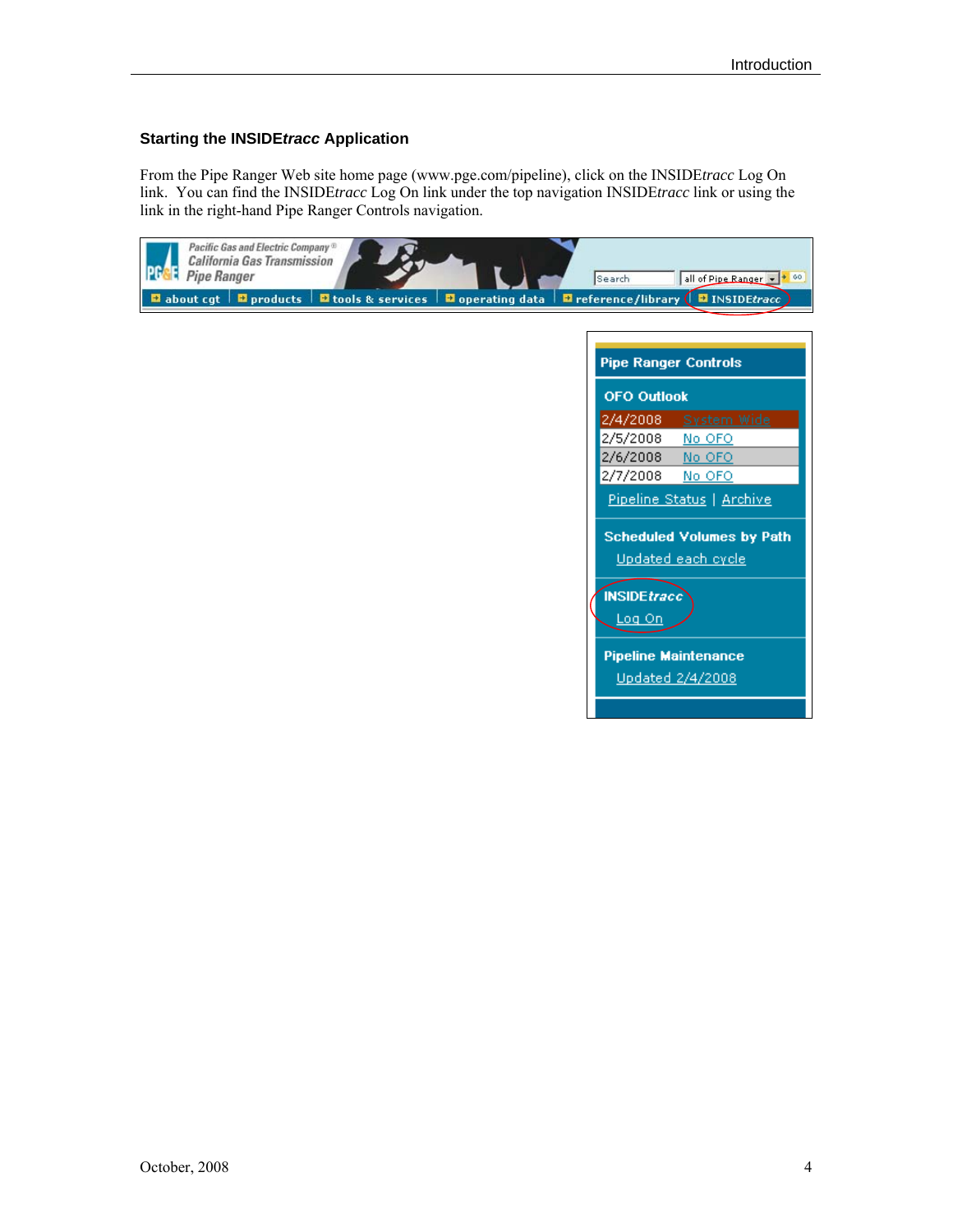#### <span id="page-3-0"></span>**Starting the INSIDE***tracc* **Application**

From the Pipe Ranger Web site home page (www.pge.com/pipeline), click on the INSIDE*tracc* Log On link. You can find the INSIDE*tracc* Log On link under the top navigation INSIDE*tracc* link or using the link in the right-hand Pipe Ranger Controls navigation.

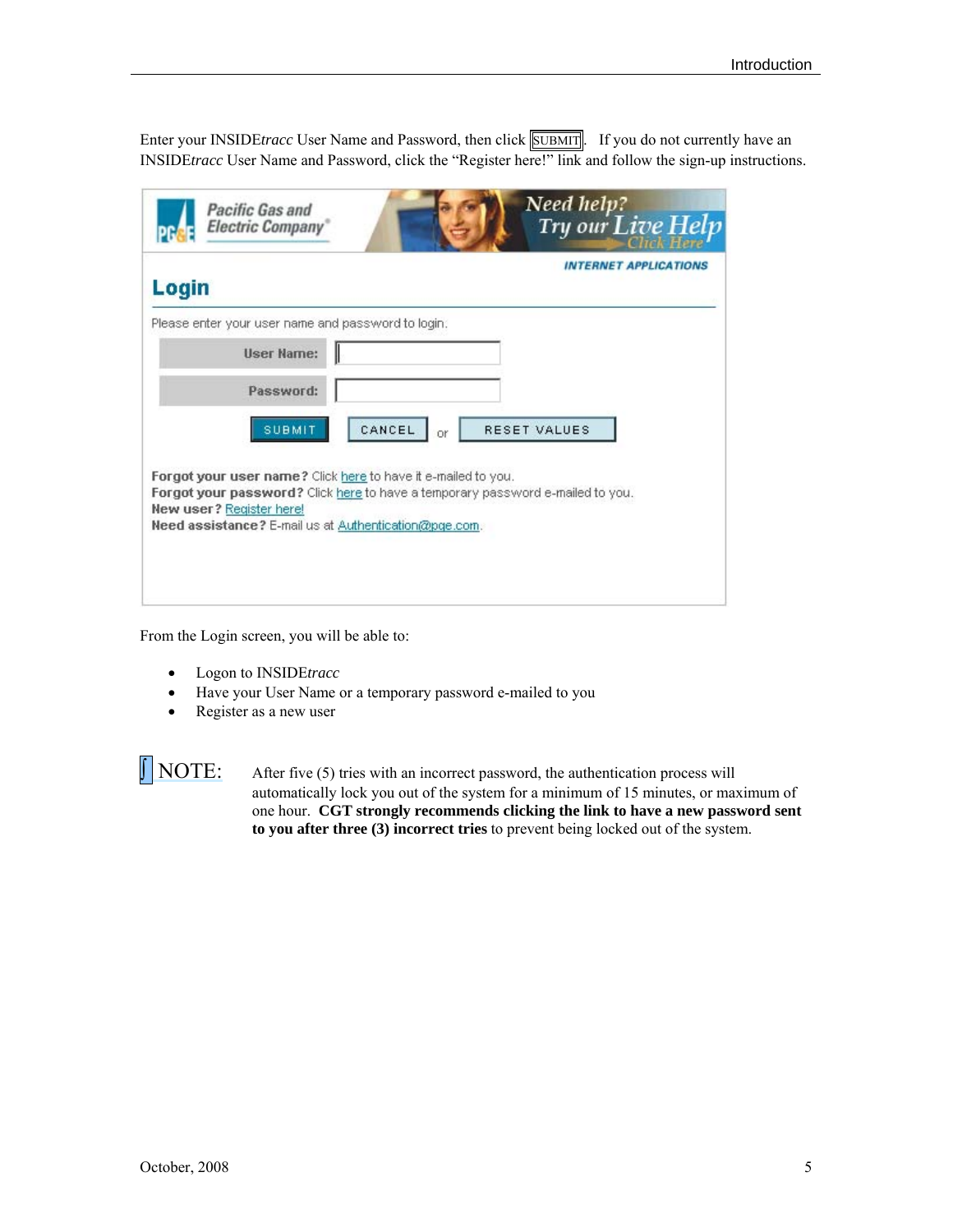Enter your INSIDE*tracc* User Name and Password, then click **SUBMIT**. If you do not currently have an INSIDE*tracc* User Name and Password, click the "Register here!" link and follow the sign-up instructions.

| Login                                                                                                                                                                                                                                       |              | <b>INTERNET APPLICATIONS</b> |
|---------------------------------------------------------------------------------------------------------------------------------------------------------------------------------------------------------------------------------------------|--------------|------------------------------|
| Please enter your user name and password to login.                                                                                                                                                                                          |              |                              |
| <b>User Name:</b>                                                                                                                                                                                                                           |              |                              |
| Password:                                                                                                                                                                                                                                   |              |                              |
| <b>SUBMIT</b>                                                                                                                                                                                                                               | CANCEL<br>Oř | <b>RESET VALUES</b>          |
| Forgot your user name? Click here to have it e-mailed to you.<br>Forgot your password? Click here to have a temporary password e-mailed to you.<br><b>New user?</b> Register here!<br>Need assistance? E-mail us at Authentication@pge.com. |              |                              |

From the Login screen, you will be able to:

- Logon to INSIDE*tracc*
- Have your User Name or a temporary password e-mailed to you
- Register as a new user

 $\sqrt{\phantom{a}}$  NOTE: After five (5) tries with an incorrect password, the authentication process will automatically lock you out of the system for a minimum of 15 minutes, or maximum of one hour. **CGT strongly recommends clicking the link to have a new password sent to you after three (3) incorrect tries** to prevent being locked out of the system.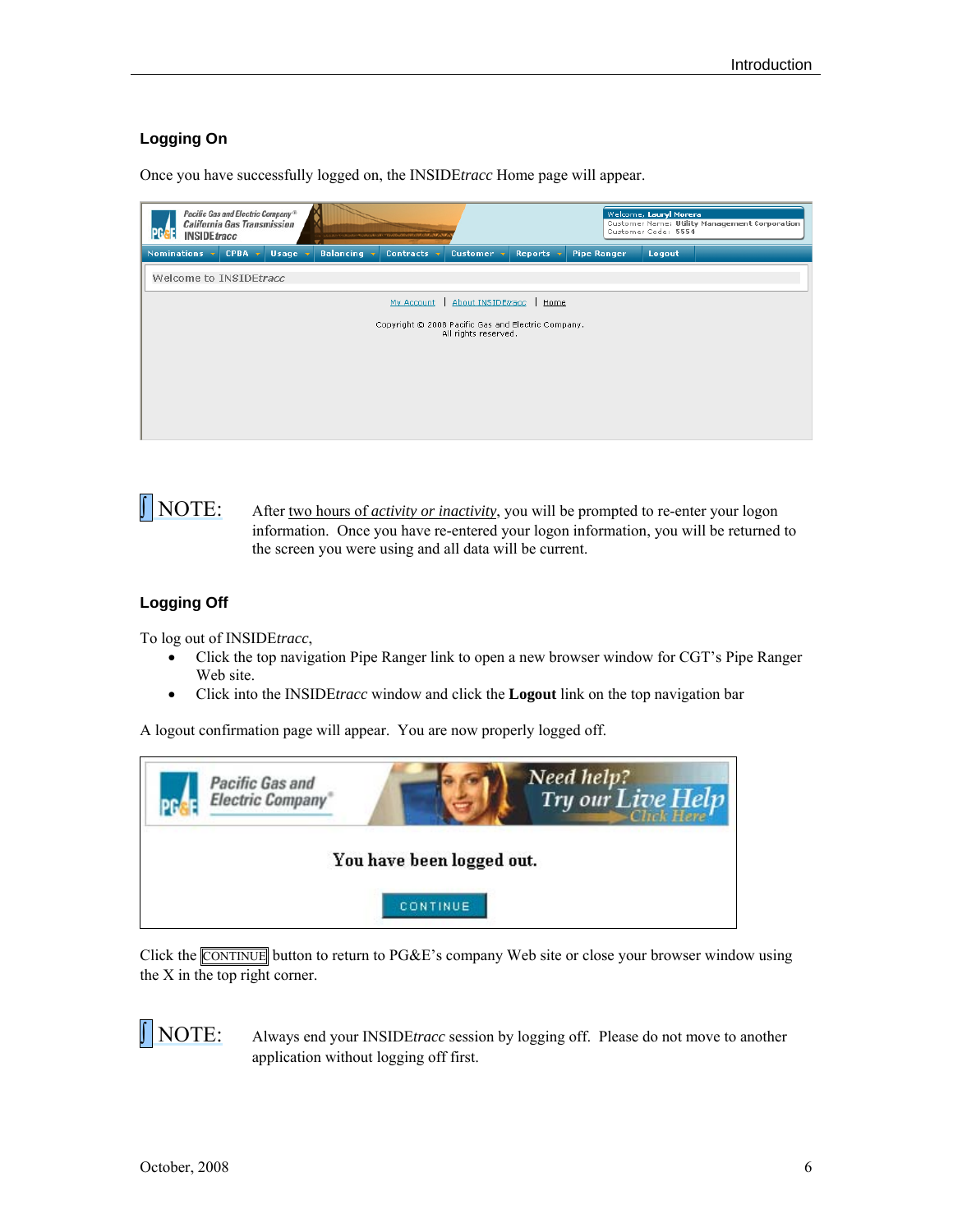### <span id="page-5-0"></span>**Logging On**

Once you have successfully logged on, the INSIDE*tracc* Home page will appear.

| Pacific Gas and Electric Company <sup>®</sup><br><b>California Gas Transmission</b><br>IPG<br><b>INSIDEtracc</b> | ··· コルウムウキッスのスターキングロスタンスタープDVODVODVDSDVDDAGADVALL |                                                                            | Welcome, Lauryl Morera<br>Customer Code: 5554 | Customer Name: Utility Management Corporation |
|------------------------------------------------------------------------------------------------------------------|---------------------------------------------------|----------------------------------------------------------------------------|-----------------------------------------------|-----------------------------------------------|
| Nominations v<br><b>CPBA</b><br>Usage $\nabla$<br><b>Sec</b>                                                     | <b>Balancing</b> v<br>Contracts v                 | Customer $\overline{\mathbf{v}}$<br>Reports $\nabla$                       | <b>Pipe Ranger</b><br>Logout                  |                                               |
| Welcome to INSIDEtracc                                                                                           |                                                   |                                                                            |                                               |                                               |
|                                                                                                                  | My Account                                        | About INSIDEtracc<br>Home                                                  |                                               |                                               |
|                                                                                                                  |                                                   | Copyright © 2008 Pacific Gas and Electric Company.<br>All rights reserved. |                                               |                                               |
|                                                                                                                  |                                                   |                                                                            |                                               |                                               |
|                                                                                                                  |                                                   |                                                                            |                                               |                                               |

```
NOTE: After two hours of activity or inactivity, you will be prompted to re-enter your logon
     information. Once you have re-entered your logon information, you will be returned to 
     the screen you were using and all data will be current.
```
### <span id="page-5-1"></span>**Logging Off**

To log out of INSIDE*tracc*,

- Click the top navigation Pipe Ranger link to open a new browser window for CGT's Pipe Ranger Web site.
- Click into the INSIDE*tracc* window and click the **Logout** link on the top navigation bar

A logout confirmation page will appear. You are now properly logged off.

| <b>Pacific Gas and</b><br><b>Electric Company</b> | Need help?<br>Try our Live Help |
|---------------------------------------------------|---------------------------------|
|                                                   | You have been logged out.       |
|                                                   | <b>CONTINUE</b>                 |

Click the CONTINUE button to return to PG&E's company Web site or close your browser window using the X in the top right corner.

 NOTE: Always end your INSIDE*tracc* session by logging off. Please do not move to another application without logging off first.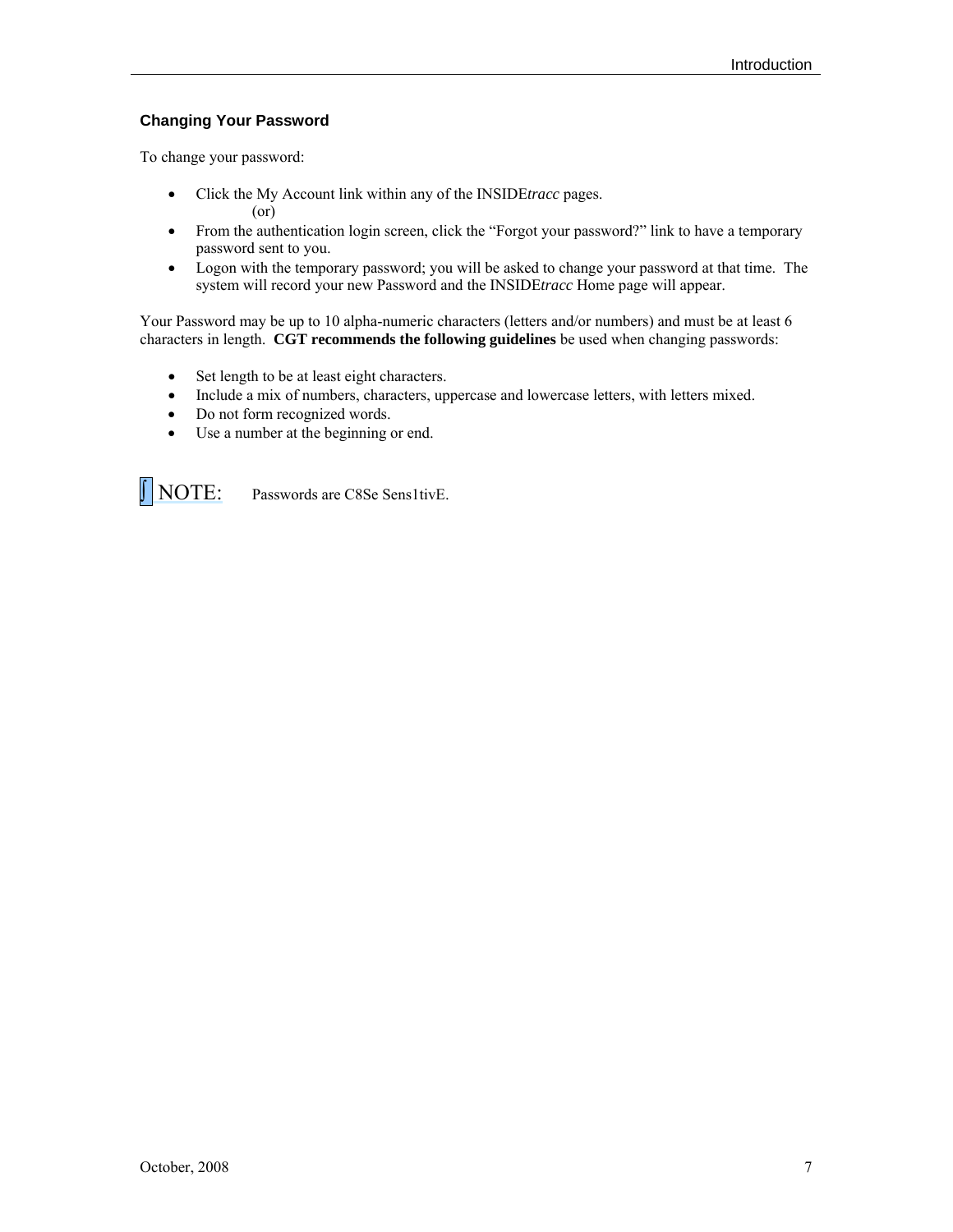### <span id="page-6-0"></span>**Changing Your Password**

To change your password:

- Click the My Account link within any of the INSIDE*tracc* pages. (or)
- From the authentication login screen, click the "Forgot your password?" link to have a temporary password sent to you.
- Logon with the temporary password; you will be asked to change your password at that time. The system will record your new Password and the INSIDE*tracc* Home page will appear.

Your Password may be up to 10 alpha-numeric characters (letters and/or numbers) and must be at least 6 characters in length. **CGT recommends the following guidelines** be used when changing passwords:

- Set length to be at least eight characters.
- Include a mix of numbers, characters, uppercase and lowercase letters, with letters mixed.
- Do not form recognized words.
- Use a number at the beginning or end.

NOTE: Passwords are C8Se Sens1tivE.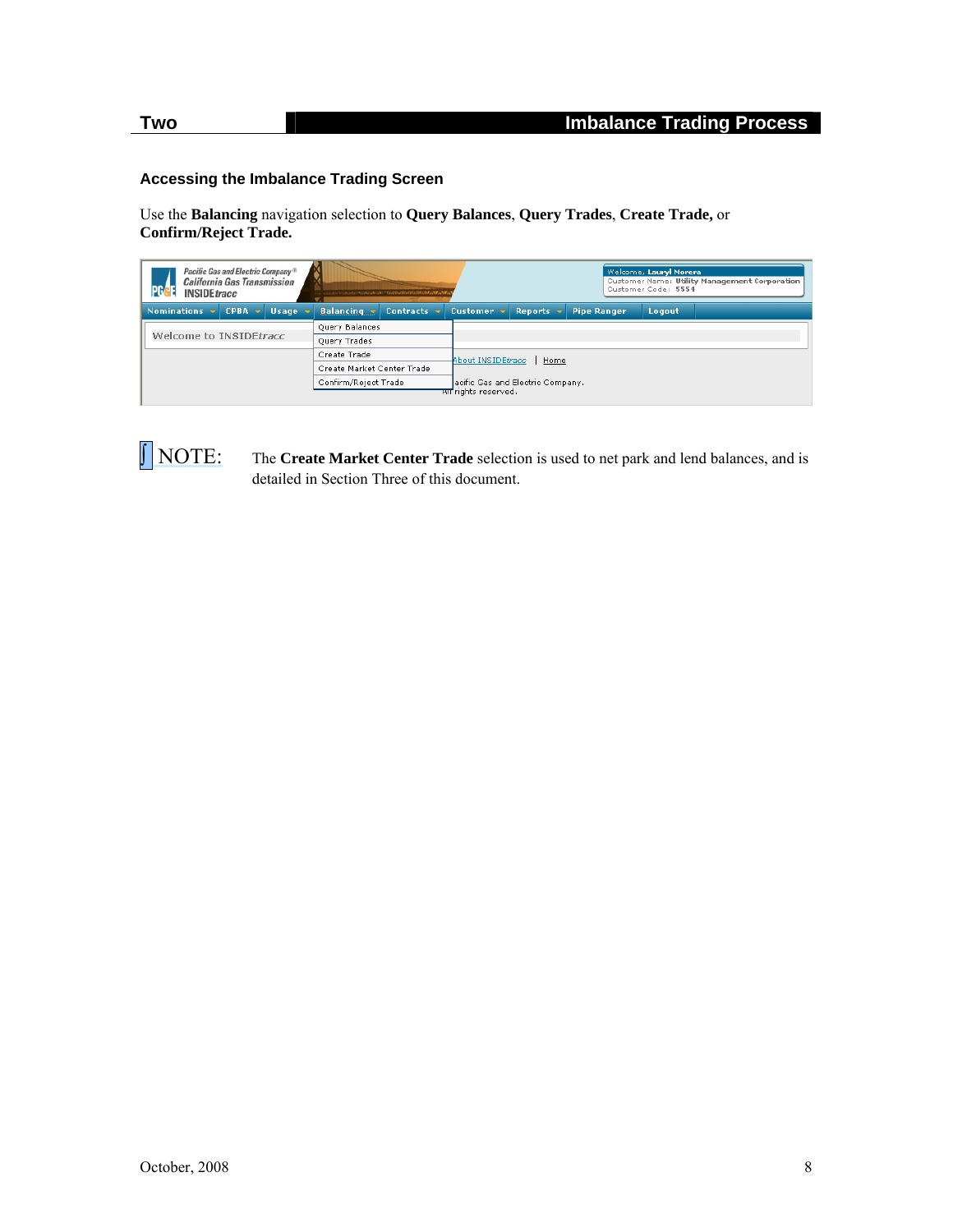#### <span id="page-7-0"></span>**Accessing the Imbalance Trading Screen**

Use the **Balancing** navigation selection to **Query Balances**, **Query Trades**, **Create Trade,** or **Confirm/Reject Trade.**

| Pacific Gas and Electric Company <sup>®</sup><br><b>California Gas Transmission</b><br><b>INSIDE</b> tracc | ったのからこつかのかにこちのものものもので、こののわかりのかけにかけにあげるのです。 |                                                               | Welcome, Lauryl Morera<br>Customer Name: Utility Management Corporation<br>Customer Code: 5554 |        |  |  |
|------------------------------------------------------------------------------------------------------------|--------------------------------------------|---------------------------------------------------------------|------------------------------------------------------------------------------------------------|--------|--|--|
| $CPBA -v$<br><b>Nominations</b><br><b>Usage</b>                                                            | <b>Balancing</b><br><b>Contracts</b>       | Customer $\mathbf{\overline{v}}$<br><b>Reports</b>            | <b>Pipe Ranger</b>                                                                             | Logout |  |  |
|                                                                                                            | Query Balances                             |                                                               |                                                                                                |        |  |  |
| Welcome to INSIDEtracc                                                                                     | Query Trades                               |                                                               |                                                                                                |        |  |  |
|                                                                                                            | Create Trade                               | About INSIDEtracc<br>Home<br>acific Gas and Electric Company. |                                                                                                |        |  |  |
|                                                                                                            | Create Market Center Trade                 |                                                               |                                                                                                |        |  |  |
|                                                                                                            | Confirm/Reject Trade                       |                                                               |                                                                                                |        |  |  |
|                                                                                                            |                                            | सा rights reserved.                                           |                                                                                                |        |  |  |

**NOTE:** The **Create Market Center Trade** selection is used to net park and lend balances, and is detailed in Section Three of this document.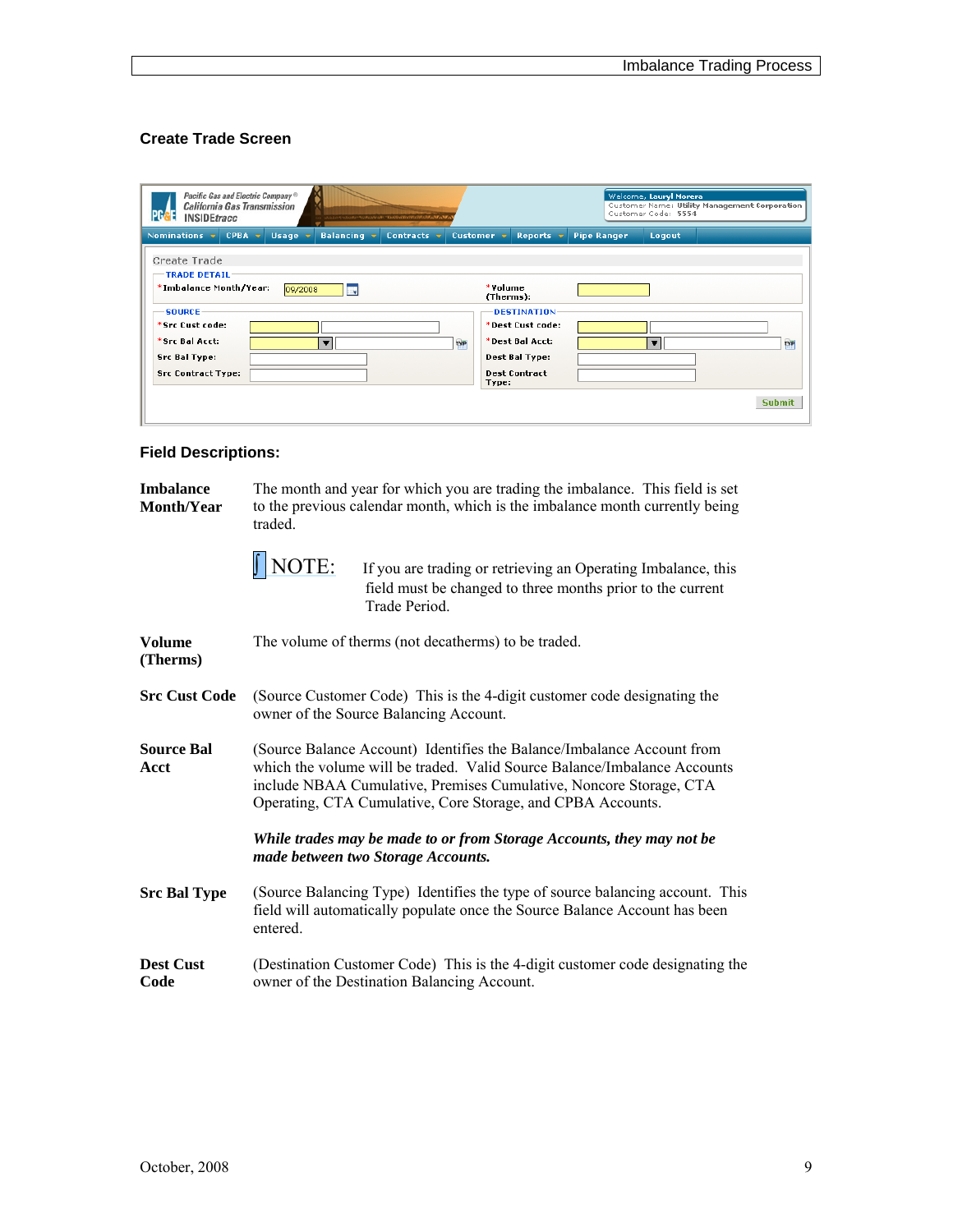### <span id="page-8-0"></span>**Create Trade Screen**

| Pacific Gas and Electric Company <sup>®</sup><br><b>California Gas Transmission</b><br><b>INSIDEtracc</b><br>ORO VORGEO TEATEATE AT CHANGE CHANGE AND ANY AREA | Welcome, Lauryl Morera<br>Customer Name: Utility Management Corporation<br>Customer Code: 5554                                                        |
|----------------------------------------------------------------------------------------------------------------------------------------------------------------|-------------------------------------------------------------------------------------------------------------------------------------------------------|
| Nominations $\mathbf{\overline{v}}$<br>CPBA,<br><b>Usage</b><br><b>Balancing</b> v<br>Contracts $\overline{\mathbf{v}}$<br><b>State</b>                        | Customer $\overline{\mathbf{v}}$<br>Reports $\mathbf{\cdot}$<br><b>Pipe Ranger</b><br>Logout                                                          |
| Create Trade<br><b>TRADE DETAIL</b><br>*Imbalance Month/Year:<br>09/2008<br>. J                                                                                | *Volume<br>(Therms):                                                                                                                                  |
| <b>SOURCE</b><br>*Src Cust code:<br>*Src Bal Acct:<br><b>TYP</b><br>$\overline{\mathbf{r}}$<br><b>Src Bal Type:</b><br><b>Src Contract Type:</b>               | <b>DESTINATION</b><br>*Dest Cust code:<br>*Dest Bal Acct:<br><b>TYP</b><br>$\overline{\mathbf{r}}$<br>Dest Bal Type:<br><b>Dest Contract</b><br>Type: |
|                                                                                                                                                                | <b>Submit</b>                                                                                                                                         |

### <span id="page-8-1"></span>**Field Descriptions:**

| <b>Imbalance</b><br>Month/Year | The month and year for which you are trading the imbalance. This field is set<br>to the previous calendar month, which is the imbalance month currently being<br>traded.                                                                                                                |  |  |  |  |  |  |  |  |
|--------------------------------|-----------------------------------------------------------------------------------------------------------------------------------------------------------------------------------------------------------------------------------------------------------------------------------------|--|--|--|--|--|--|--|--|
|                                | $\int$ NOTE:<br>If you are trading or retrieving an Operating Imbalance, this<br>field must be changed to three months prior to the current<br>Trade Period.                                                                                                                            |  |  |  |  |  |  |  |  |
| <b>Volume</b><br>(Therms)      | The volume of therms (not decatherms) to be traded.                                                                                                                                                                                                                                     |  |  |  |  |  |  |  |  |
| <b>Src Cust Code</b>           | (Source Customer Code) This is the 4-digit customer code designating the<br>owner of the Source Balancing Account.                                                                                                                                                                      |  |  |  |  |  |  |  |  |
| <b>Source Bal</b><br>Acct      | (Source Balance Account) Identifies the Balance/Imbalance Account from<br>which the volume will be traded. Valid Source Balance/Imbalance Accounts<br>include NBAA Cumulative, Premises Cumulative, Noncore Storage, CTA<br>Operating, CTA Cumulative, Core Storage, and CPBA Accounts. |  |  |  |  |  |  |  |  |
|                                | While trades may be made to or from Storage Accounts, they may not be<br>made between two Storage Accounts.                                                                                                                                                                             |  |  |  |  |  |  |  |  |
| <b>Src Bal Type</b>            | (Source Balancing Type) Identifies the type of source balancing account. This<br>field will automatically populate once the Source Balance Account has been<br>entered.                                                                                                                 |  |  |  |  |  |  |  |  |
| <b>Dest Cust</b><br>Code       | (Destination Customer Code) This is the 4-digit customer code designating the<br>owner of the Destination Balancing Account.                                                                                                                                                            |  |  |  |  |  |  |  |  |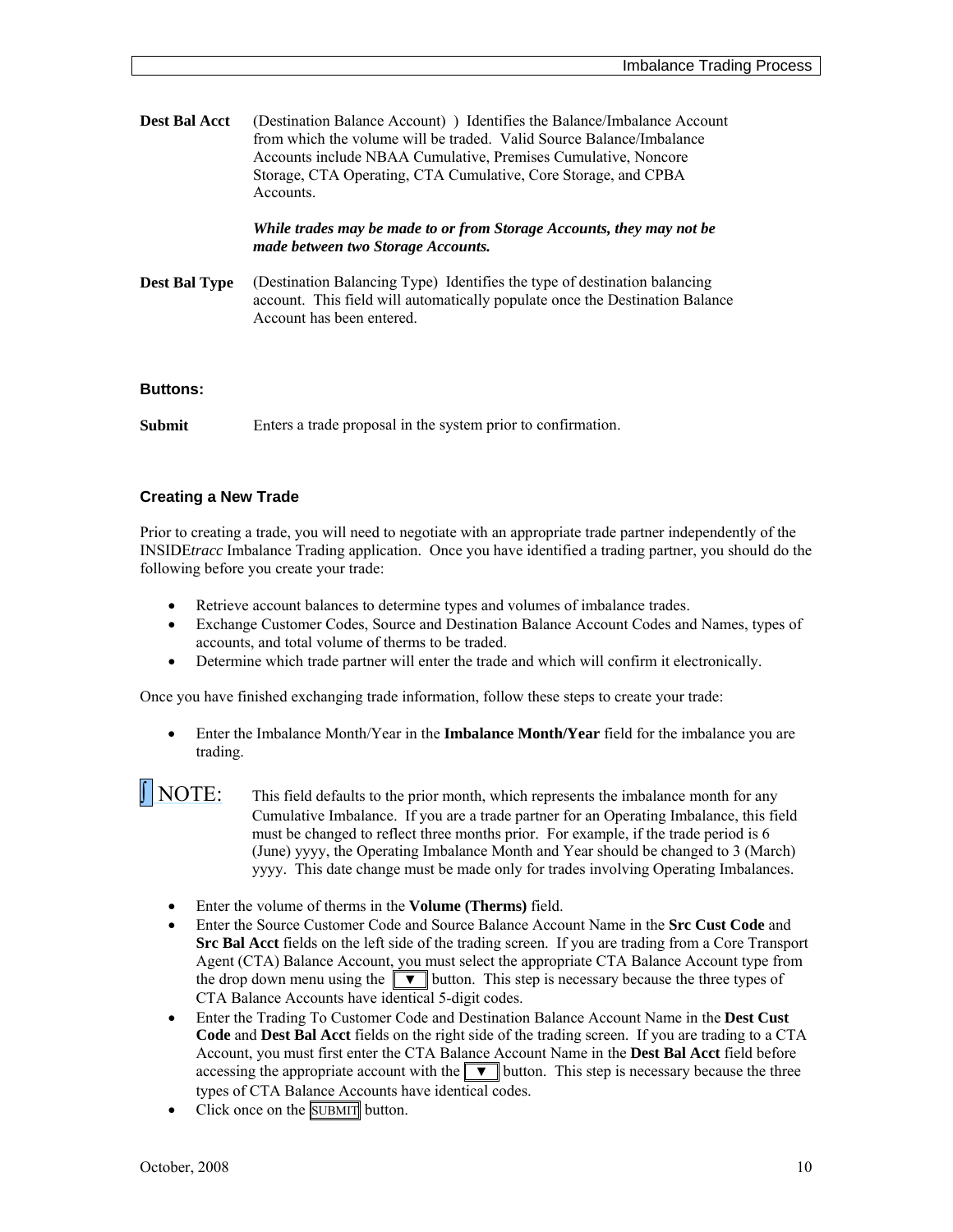| <b>Dest Bal Acct</b> | (Destination Balance Account) ) Identifies the Balance/Imbalance Account |
|----------------------|--------------------------------------------------------------------------|
|                      | from which the volume will be traded. Valid Source Balance/Imbalance     |
|                      | Accounts include NBAA Cumulative, Premises Cumulative, Noncore           |
|                      | Storage, CTA Operating, CTA Cumulative, Core Storage, and CPBA           |
|                      | Accounts.                                                                |
|                      |                                                                          |

*While trades may be made to or from Storage Accounts, they may not be made between two Storage Accounts.* 

**Dest Bal Type** (Destination Balancing Type) Identifies the type of destination balancing account. This field will automatically populate once the Destination Balance Account has been entered.

#### <span id="page-9-0"></span>**Buttons:**

**Submit** Enters a trade proposal in the system prior to confirmation.

#### <span id="page-9-1"></span>**Creating a New Trade**

Prior to creating a trade, you will need to negotiate with an appropriate trade partner independently of the INSIDE*tracc* Imbalance Trading application. Once you have identified a trading partner, you should do the following before you create your trade:

- Retrieve account balances to determine types and volumes of imbalance trades.
- Exchange Customer Codes, Source and Destination Balance Account Codes and Names, types of accounts, and total volume of therms to be traded.
- Determine which trade partner will enter the trade and which will confirm it electronically.

Once you have finished exchanging trade information, follow these steps to create your trade:

 Enter the Imbalance Month/Year in the **Imbalance Month/Year** field for the imbalance you are trading.

 $\int \text{NOTE:}$  This field defaults to the prior month, which represents the imbalance month for any Cumulative Imbalance. If you are a trade partner for an Operating Imbalance, this field must be changed to reflect three months prior. For example, if the trade period is 6 (June) yyyy, the Operating Imbalance Month and Year should be changed to 3 (March) yyyy. This date change must be made only for trades involving Operating Imbalances.

- Enter the volume of therms in the **Volume (Therms)** field.
- Enter the Source Customer Code and Source Balance Account Name in the **Src Cust Code** and **Src Bal Acct** fields on the left side of the trading screen. If you are trading from a Core Transport Agent (CTA) Balance Account, you must select the appropriate CTA Balance Account type from the drop down menu using the  $\blacktriangledown$  button. This step is necessary because the three types of CTA Balance Accounts have identical 5-digit codes.
- Enter the Trading To Customer Code and Destination Balance Account Name in the **Dest Cust Code** and **Dest Bal Acct** fields on the right side of the trading screen. If you are trading to a CTA Account, you must first enter the CTA Balance Account Name in the **Dest Bal Acct** field before accessing the appropriate account with the  $\blacktriangledown$  button. This step is necessary because the three types of CTA Balance Accounts have identical codes.
- Click once on the SUBMIT button.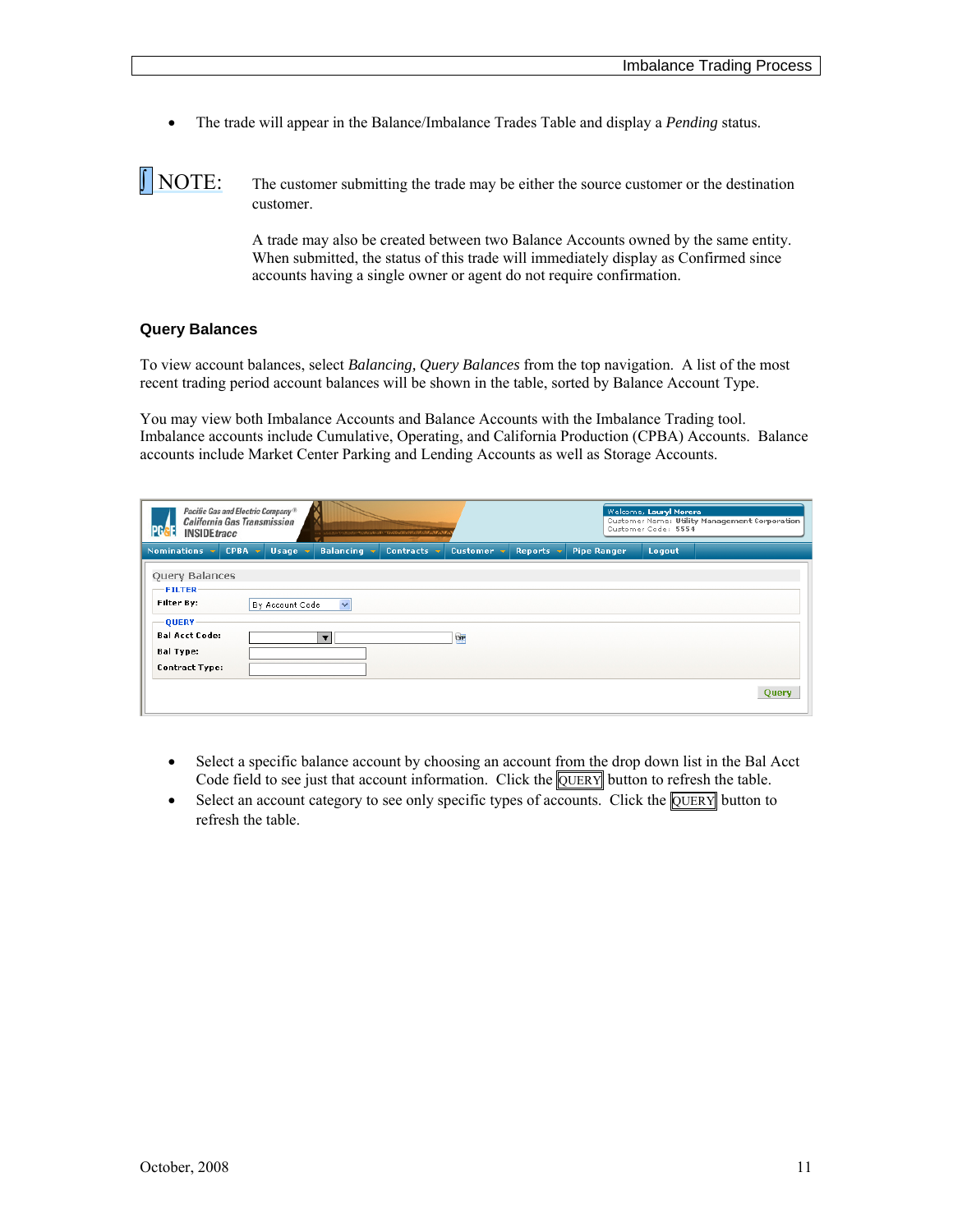The trade will appear in the Balance/Imbalance Trades Table and display a *Pending* status.

 $\|\text{NOTE:}\$  The customer submitting the trade may be either the source customer or the destination customer.

> A trade may also be created between two Balance Accounts owned by the same entity. When submitted, the status of this trade will immediately display as Confirmed since accounts having a single owner or agent do not require confirmation.

#### <span id="page-10-0"></span>**Query Balances**

To view account balances, select *Balancing, Query Balances* from the top navigation. A list of the most recent trading period account balances will be shown in the table, sorted by Balance Account Type.

You may view both Imbalance Accounts and Balance Accounts with the Imbalance Trading tool. Imbalance accounts include Cumulative, Operating, and California Production (CPBA) Accounts. Balance accounts include Market Center Parking and Lending Accounts as well as Storage Accounts.

| PG<br><b>INSIDEtracc</b>                                           | Pacific Gas and Electric Company <sup>®</sup><br><b>California Gas Transmission</b> |                 |                         | さらえらぎつぶのきにすにきにきにするほとすりではなければないがあるかもの |           |                |                    | Welcome, Lauryl Morera<br>Customer Code: 5554 | Customer Name: Utility Management Corporation |
|--------------------------------------------------------------------|-------------------------------------------------------------------------------------|-----------------|-------------------------|--------------------------------------|-----------|----------------|--------------------|-----------------------------------------------|-----------------------------------------------|
| Nominations v                                                      | <b>CPBA</b>                                                                         | Usage v         | <b>Balancing</b>        | Contracts v                          | Customer  | <b>Reports</b> | <b>Pipe Ranger</b> | Logout                                        |                                               |
| Query Balances<br><b>FILTER</b><br>Filter By:<br>-QUERY            |                                                                                     | By Account Code | $\checkmark$            |                                      |           |                |                    |                                               |                                               |
| <b>Bal Acct Code:</b><br><b>Bal Type:</b><br><b>Contract Type:</b> |                                                                                     |                 | $\overline{\mathbf{v}}$ |                                      | <b>DP</b> |                |                    |                                               |                                               |
|                                                                    |                                                                                     |                 |                         |                                      |           |                |                    |                                               | Query                                         |

- Select a specific balance account by choosing an account from the drop down list in the Bal Acct Code field to see just that account information. Click the **QUERY** button to refresh the table.
- $\bullet$  Select an account category to see only specific types of accounts. Click the **OUERY** button to refresh the table.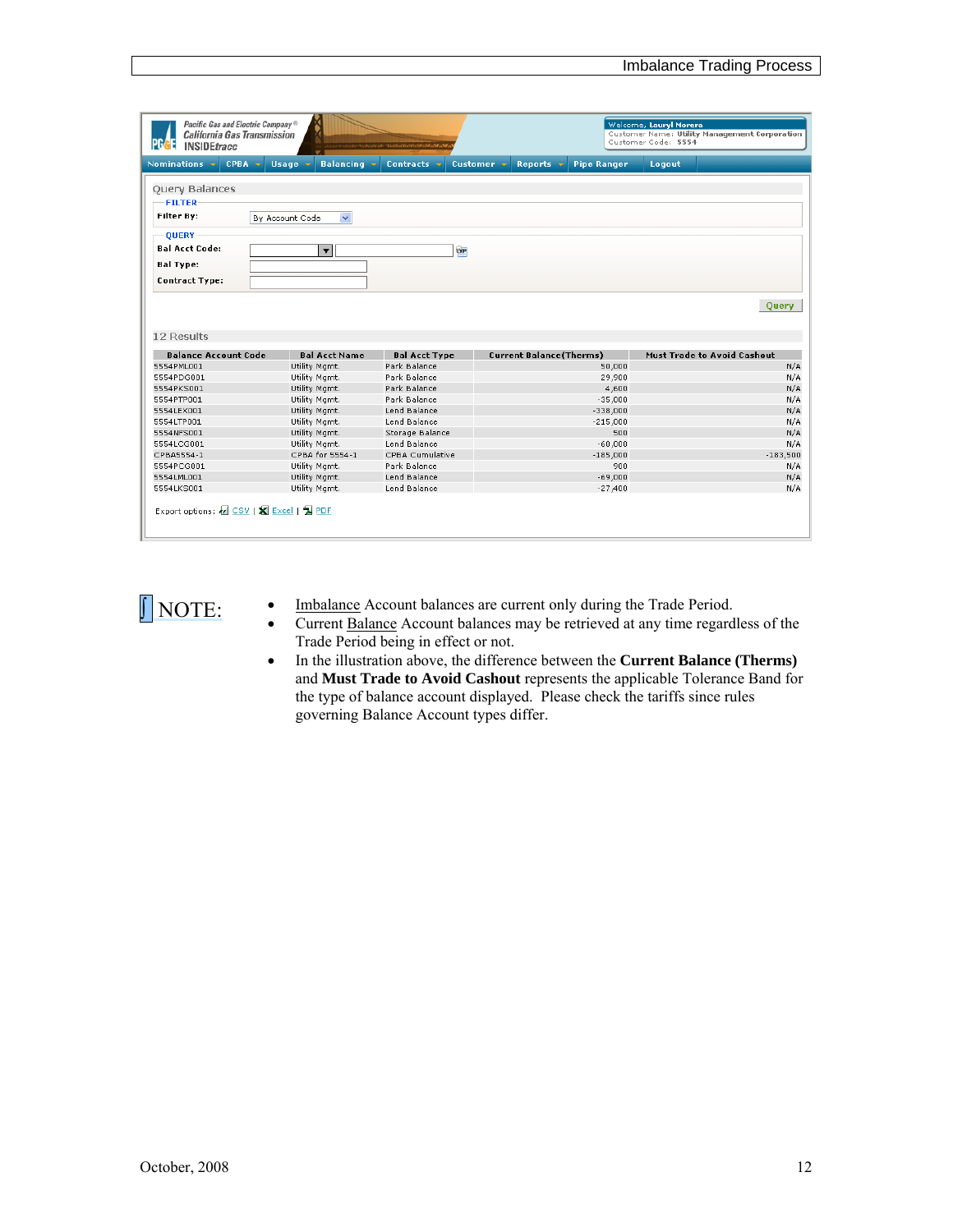| Pacific Gas and Electric Company <sup>®</sup><br><b>California Gas Transmission</b><br><b>INSIDEtracc</b> |        |                      |                      | ateasts, "Bastics (Hofficial distributor A |            |                                |                    | Welcome, Lauryl Morera<br>Customer Code: 5554 | Customer Name: Utility Management Corporation |
|-----------------------------------------------------------------------------------------------------------|--------|----------------------|----------------------|--------------------------------------------|------------|--------------------------------|--------------------|-----------------------------------------------|-----------------------------------------------|
| Nominations -                                                                                             | CPBA - | Usage $\overline{v}$ | <b>Balancing</b>     | Contracts -                                | Customer v | Reports $\mathbf{\cdot}$       | <b>Pipe Ranger</b> | Logout                                        |                                               |
| <b>Query Balances</b>                                                                                     |        |                      |                      |                                            |            |                                |                    |                                               |                                               |
| <b>FILTER</b>                                                                                             |        |                      |                      |                                            |            |                                |                    |                                               |                                               |
| Filter By:                                                                                                |        |                      |                      |                                            |            |                                |                    |                                               |                                               |
|                                                                                                           |        | By Account Code      | $\checkmark$         |                                            |            |                                |                    |                                               |                                               |
| <b>OUERY</b>                                                                                              |        |                      |                      |                                            |            |                                |                    |                                               |                                               |
| <b>Bal Acct Code:</b>                                                                                     |        |                      | $\blacktriangledown$ |                                            | <b>DP</b>  |                                |                    |                                               |                                               |
| <b>Bal Type:</b>                                                                                          |        |                      |                      |                                            |            |                                |                    |                                               |                                               |
|                                                                                                           |        |                      |                      |                                            |            |                                |                    |                                               |                                               |
| <b>Contract Type:</b>                                                                                     |        |                      |                      |                                            |            |                                |                    |                                               |                                               |
| 12 Results                                                                                                |        |                      |                      |                                            |            |                                |                    |                                               | Ouerv                                         |
| <b>Balance Account Code</b>                                                                               |        |                      | <b>Bal Acct Name</b> | <b>Bal Acct Type</b>                       |            | <b>Current Balance(Therms)</b> |                    |                                               | <b>Must Trade to Avoid Cashout</b>            |
| 5554PML001                                                                                                |        |                      | Utility Mgmt.        | Park Balance                               |            |                                | 50,000             |                                               | N/A                                           |
| 5554PDG001                                                                                                |        |                      | Utility Mamt.        | Park Balance                               |            |                                | 29,900             |                                               | N/A                                           |
| 5554PKS001                                                                                                |        |                      | Utility Mamt.        | Park Balance                               |            |                                | 4,600              |                                               | N/A                                           |
| 5554PTP001                                                                                                |        |                      | Utility Mamt.        | Park Balance                               |            |                                | $-35,000$          |                                               | N/A                                           |
| 5554LEX001                                                                                                |        |                      | Utility Mamt.        | Lend Balance                               |            |                                | $-338,000$         |                                               | N/A                                           |
| 5554LTP001                                                                                                |        |                      | Utility Mgmt.        | Lend Balance                               |            |                                | $-215,000$         |                                               | N/A                                           |
| 5554NFS001                                                                                                |        |                      | Utility Mamt.        | Storage Balance                            |            |                                | 500                |                                               | N/A                                           |
| 5554LCG001                                                                                                |        |                      | Utility Mamt.        | Lend Balance                               |            |                                | $-60,000$          |                                               | N/A                                           |
| CPBA5554-1                                                                                                |        |                      | CPBA for 5554-1      | CPBA Cumulative                            |            |                                | $-185,000$         |                                               | $-183,500$                                    |
| 5554PCG001                                                                                                |        |                      | Utility Mgmt.        | Park Balance                               |            |                                | 900                |                                               | N/A                                           |
| 5554LML001                                                                                                |        |                      | Utility Mamt.        | Lend Balance                               |            |                                | $-69,000$          |                                               | N/A                                           |
| 5554LKS001                                                                                                |        |                      | Utility Mamt.        | Lend Balance                               |            |                                | $-27,400$          |                                               | N/A                                           |
| Export options: 2 CSV   X Excel   国 PDF                                                                   |        |                      |                      |                                            |            |                                |                    |                                               |                                               |



**IMOTE:** Imbalance Account balances are current only during the Trade Period.

- Current Balance Account balances may be retrieved at any time regardless of the Trade Period being in effect or not.
- In the illustration above, the difference between the **Current Balance (Therms)** and **Must Trade to Avoid Cashout** represents the applicable Tolerance Band for the type of balance account displayed. Please check the tariffs since rules governing Balance Account types differ.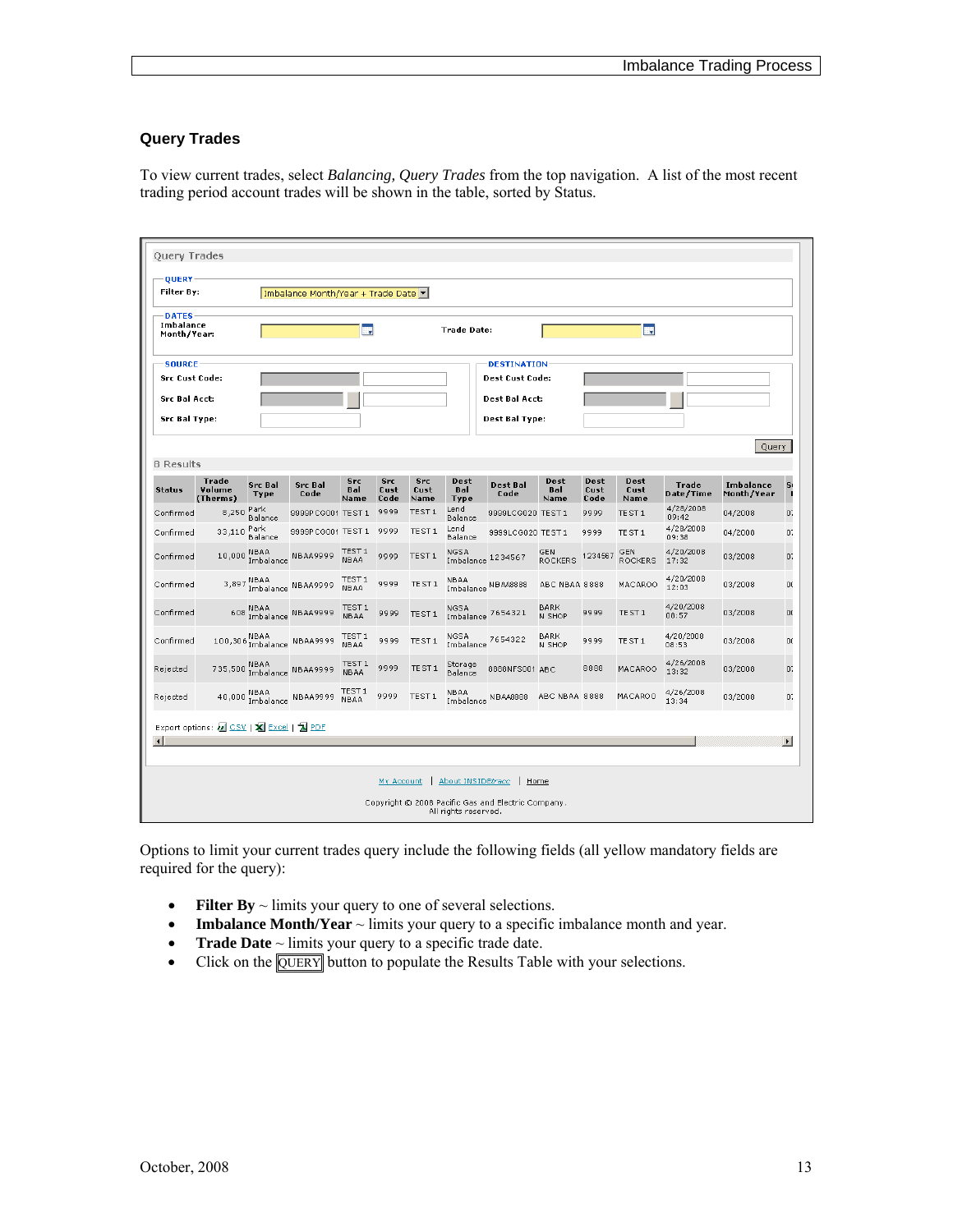#### <span id="page-12-0"></span>**Query Trades**

To view current trades, select *Balancing, Query Trades* from the top navigation. A list of the most recent trading period account trades will be shown in the table, sorted by Status.

| <b>QUERY-</b><br>Filter By:                                                            |                                         |                        | Imbalance Month/Year + Trade Date v |                                  |                            |                            |                            |                                                                                         |                       |                      |                       |                           |                         |                       |
|----------------------------------------------------------------------------------------|-----------------------------------------|------------------------|-------------------------------------|----------------------------------|----------------------------|----------------------------|----------------------------|-----------------------------------------------------------------------------------------|-----------------------|----------------------|-----------------------|---------------------------|-------------------------|-----------------------|
| <b>DATES</b><br>Imbalance<br>Month/Year:                                               |                                         |                        |                                     | H.                               |                            |                            | <b>Trade Date:</b>         |                                                                                         |                       |                      | 獸                     |                           |                         |                       |
| <b>SOURCE</b><br><b>Src Cust Code:</b><br><b>Src Bal Acct:</b><br><b>Src Bal Type:</b> |                                         |                        |                                     |                                  |                            |                            |                            | <b>DESTINATION</b><br><b>Dest Cust Code:</b><br><b>Dest Bal Acct:</b><br>Dest Bal Type: |                       |                      |                       |                           |                         |                       |
| <b>8 Results</b>                                                                       |                                         |                        |                                     |                                  |                            |                            |                            |                                                                                         |                       |                      |                       |                           | Query                   |                       |
| <b>Status</b>                                                                          | Trade<br>Volume<br>(Therms)             | <b>Src Bal</b><br>Type | <b>Src Bal</b><br>Code              | <b>Src</b><br><b>Bal</b><br>Name | <b>Src</b><br>Cust<br>Code | <b>Src</b><br>Cust<br>Name | Dest<br>Bal<br>Type        | <b>Dest Bal</b><br>Code                                                                 | Dest<br>Bal<br>Name   | Dest<br>Cust<br>Code | Dest<br>Cust<br>Name  | <b>Trade</b><br>Date/Time | Imbalance<br>Month/Year | S <sub>1</sub><br>п   |
| Confirmed                                                                              | 8,250                                   | Park<br>Balance        | 9999PCG001 TEST 1                   |                                  | 9999                       | TE ST 1                    | Lend<br>Balance            | 9999LCG020 TEST 1                                                                       |                       | 9999                 | TEST <sub>1</sub>     | 4/28/2008<br>09:42        | 04/2008                 | 0.                    |
| Confirmed                                                                              | 33,110 Park                             | Balance                | 9999PCG001 TEST 1                   |                                  | 9999                       | TEST <sub>1</sub>          | Lend<br>Balance            | 9999LCG020 TEST 1                                                                       |                       | 9999                 | TEST <sub>1</sub>     | 4/28/2008<br>09:38        | 04/2008                 | 0.                    |
| Confirmed                                                                              |                                         |                        | 10,000 NBAA<br>Imbalance NBAA9999   | TEST 1<br>NBAA                   | 9999                       | TEST <sub>1</sub>          | NGSA<br>Imbalance 1234567  |                                                                                         | GEN<br><b>ROCKERS</b> | 1234567              | GEN<br><b>ROCKERS</b> | 4/20/2008<br>17:32        | 03/2008                 | 0.                    |
| Confirmed                                                                              |                                         |                        | 3,897 MBAA<br>Imbalance NBAA9999    | TEST 1<br>NBAA                   | 9999                       | TEST <sub>1</sub>          | NBAA<br>Imbalance NBA48888 |                                                                                         | ABC NBAA 8888         |                      | MACAROO               | 4/20/2008<br>12:03        | 03/2008                 | 0(                    |
| Confirmed                                                                              |                                         |                        | 608 NBAA<br>Imbalance NBAA9999      | TEST 1<br><b>NBAA</b>            | 9999                       | TEST <sub>1</sub>          | NGSA<br>Imbalance          | 7654321                                                                                 | BARK<br>N SHOP        | 9999                 | TEST <sub>1</sub>     | 4/20/2008<br>08:57        | 03/2008                 | 0(                    |
| Confirmed                                                                              |                                         |                        | 100,306 NBAA<br>Imbalance NBAA9999  | TEST 1<br><b>NBAA</b>            | 9999                       | TEST <sub>1</sub>          | NGSA<br>Imbalance          | 7654322                                                                                 | <b>BARK</b><br>N SHOP | 9999                 | TEST <sub>1</sub>     | 4/20/2008<br>08:53        | 03/2008                 | 0(                    |
| Rejected                                                                               |                                         |                        | 735,500 NBAA<br>Imbalance NBAA9999  | TEST 1<br><b>NBAA</b>            | 9999                       | TEST <sub>1</sub>          | Storage<br>Balance         | 8888NFS001 ABC                                                                          |                       | 8888                 | MACAROO               | 4/26/2008<br>13:32        | 03/2008                 | 0.                    |
| Rejected                                                                               |                                         |                        | 40,000 MBAA<br>Imbalance NBAA9999   | TEST 1<br><b>NBAA</b>            | 9999                       | TEST <sub>1</sub>          | NBAA                       | Imbalance NBAA8888                                                                      | ABC NBAA 8888         |                      | MACAROO               | 4/26/2008<br>13:34        | 03/2008                 | 0.                    |
| $\left  \cdot \right $                                                                 | Export options: 2 CSV   X Excel   2 PDF |                        |                                     |                                  |                            |                            |                            |                                                                                         |                       |                      |                       |                           |                         | $\blacktriangleright$ |
|                                                                                        |                                         |                        |                                     |                                  | My Account                 |                            | About INSIDEtracc          | Home                                                                                    |                       |                      |                       |                           |                         |                       |

Options to limit your current trades query include the following fields (all yellow mandatory fields are required for the query):

- **Filter By** ~ limits your query to one of several selections.
- **Imbalance Month/Year** ~ limits your query to a specific imbalance month and year.
- **• Trade Date** ~ limits your query to a specific trade date.
- Click on the **QUERY** button to populate the Results Table with your selections.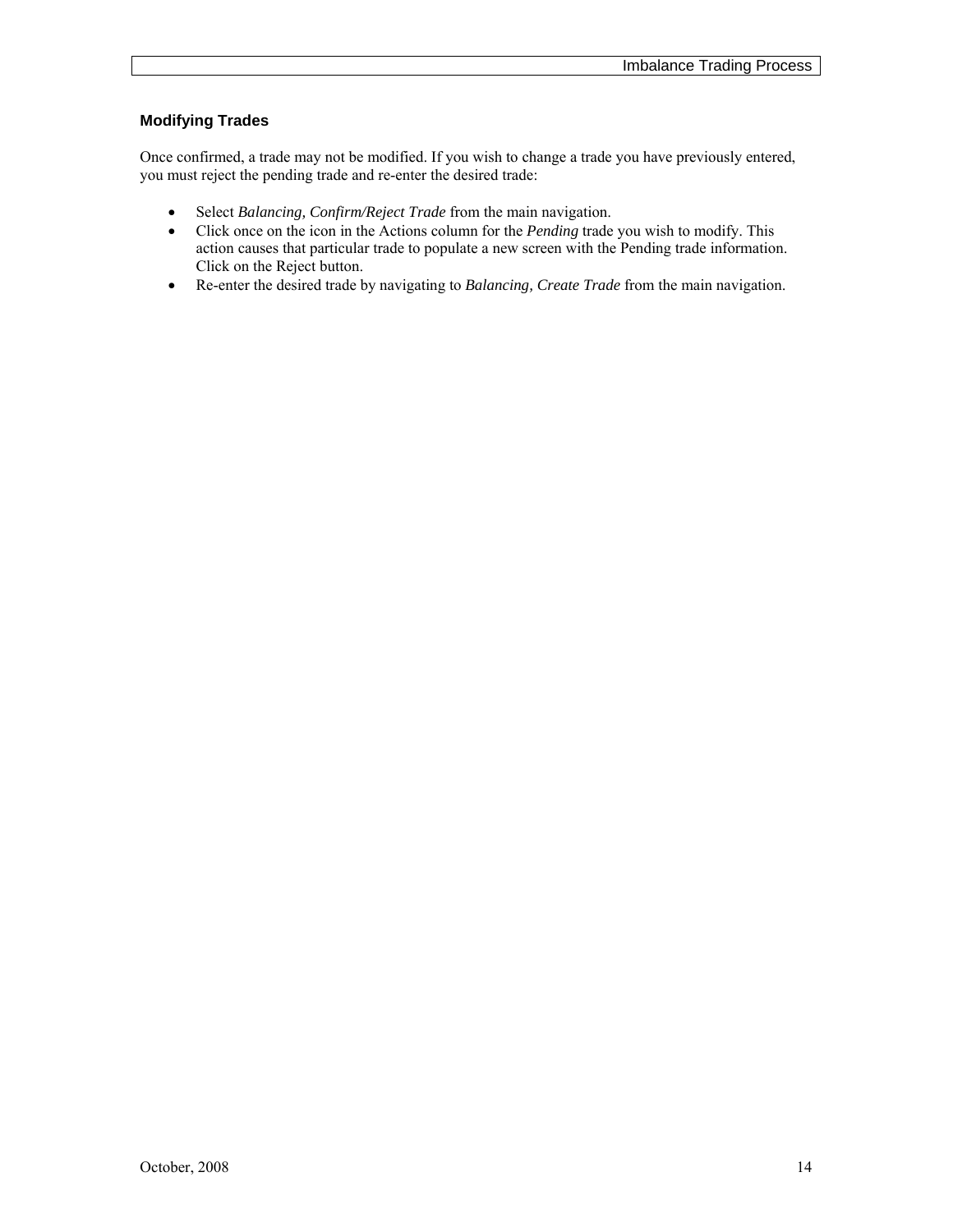### <span id="page-13-0"></span>**Modifying Trades**

Once confirmed, a trade may not be modified. If you wish to change a trade you have previously entered, you must reject the pending trade and re-enter the desired trade:

- Select *Balancing, Confirm/Reject Trade* from the main navigation.
- Click once on the icon in the Actions column for the *Pending* trade you wish to modify. This action causes that particular trade to populate a new screen with the Pending trade information. Click on the Reject button.
- Re-enter the desired trade by navigating to *Balancing, Create Trade* from the main navigation.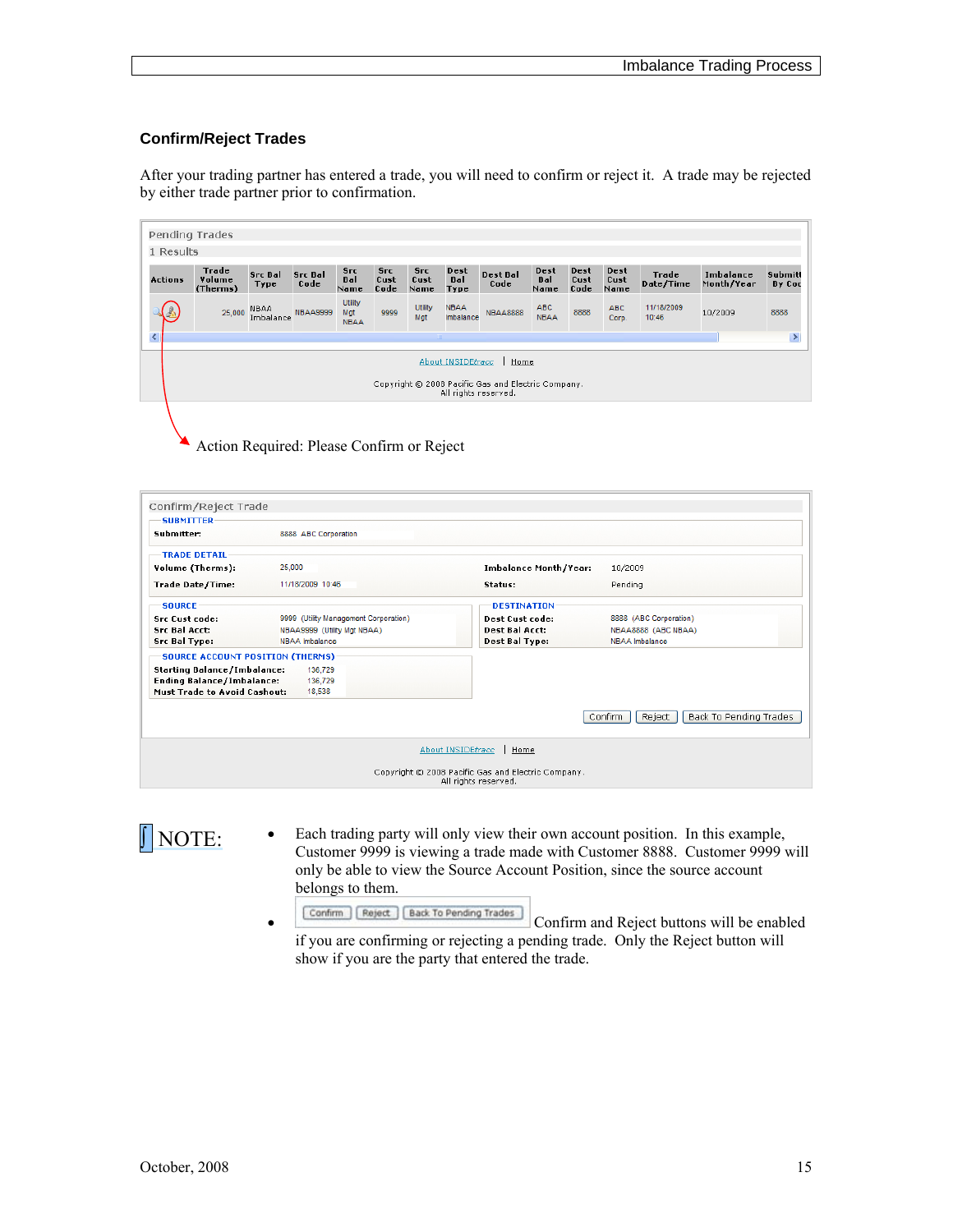#### <span id="page-14-0"></span>**Confirm/Reject Trades**

After your trading partner has entered a trade, you will need to confirm or reject it. A trade may be rejected by either trade partner prior to confirmation.

| Pending Trades                                                                                          |                             |                        |                        |                               |                            |                            |                            |                  |                     |                      |                      |                     |                         |                   |
|---------------------------------------------------------------------------------------------------------|-----------------------------|------------------------|------------------------|-------------------------------|----------------------------|----------------------------|----------------------------|------------------|---------------------|----------------------|----------------------|---------------------|-------------------------|-------------------|
| 1 Results                                                                                               |                             |                        |                        |                               |                            |                            |                            |                  |                     |                      |                      |                     |                         |                   |
| <b>Actions</b>                                                                                          | Trade<br>Volume<br>(Therms) | <b>Src Bal</b><br>Type | <b>Src Bal</b><br>Code | <b>Src</b><br>Bal<br>Name     | <b>Src</b><br>Cust<br>Code | <b>Src</b><br>Cust<br>Name | Dest<br><b>Bal</b><br>Type | Dest Bal<br>Code | Dest<br>Bal<br>Name | Dest<br>Cust<br>Code | Dest<br>Cust<br>Name | Trade<br>Date/Time  | Imbalance<br>Month/Year | Submitt<br>By Coc |
|                                                                                                         | 25,000                      | NBAA<br>Imbalance      | <b>NBAA9999</b>        | Utility<br>Mat<br><b>NBAA</b> | 9999                       | Utility<br>Mgt             | <b>NBAA</b><br>Imbalance   | <b>NBAA8888</b>  | ABC<br><b>NBAA</b>  | 8888                 | ABC<br>Corp.         | 11/18/2009<br>10:46 | 10/2009                 | 8888              |
| ₹<br>$\rightarrow$<br>$\sim$ 1111                                                                       |                             |                        |                        |                               |                            |                            |                            |                  |                     |                      |                      |                     |                         |                   |
| About INSIDEtracc<br>Home<br>Copyright © 2008 Pacific Gas and Electric Company.<br>All rights reserved. |                             |                        |                        |                               |                            |                            |                            |                  |                     |                      |                      |                     |                         |                   |
|                                                                                                         |                             |                        |                        |                               |                            |                            |                            |                  |                     |                      |                      |                     |                         |                   |

Action Required: Please Confirm or Reject

| Confirm/Reject Trade<br><b>SUBMITTER</b> |                                       |                                                                            |                                             |
|------------------------------------------|---------------------------------------|----------------------------------------------------------------------------|---------------------------------------------|
| Submitter:                               | 8888 ABC Corporation                  |                                                                            |                                             |
| <b>TRADE DETAIL:</b>                     |                                       |                                                                            |                                             |
| Volume (Therms):                         | 25,000                                | <b>Imbalance Month/Year:</b>                                               | 10/2009                                     |
| Trade Date/Time:                         | 11/18/2009 10:46                      | Status:                                                                    | Pending                                     |
| <b>SOURCE</b>                            |                                       | <b>DESTINATION</b>                                                         |                                             |
| <b>Src Cust code:</b>                    | 9999 (Utility Management Corporation) | <b>Dest Cust code:</b>                                                     | 8888 (ABC Corporation)                      |
| <b>Src Bal Acct:</b>                     | NBAA9999 (Utility Mat NBAA)           | <b>Dest Bal Acct:</b>                                                      | NBAA8888 (ABC NBAA)                         |
| Src Bal Type:                            | NBAA Imbalance                        | Dest Bal Type:                                                             | NBAA Imbalance                              |
| <b>SOURCE ACCOUNT POSITION (THERMS)</b>  |                                       |                                                                            |                                             |
| <b>Starting Balance/Imbalance:</b>       | 136,729                               |                                                                            |                                             |
| <b>Ending Balance/Imbalance:</b>         | 136,729                               |                                                                            |                                             |
| <b>Must Trade to Avoid Cashout:</b>      | 18,538                                |                                                                            |                                             |
|                                          |                                       |                                                                            | Reject<br>Back To Pending Trades<br>Confirm |
|                                          |                                       | About INSIDEtracc<br>Home                                                  |                                             |
|                                          |                                       | Copyright © 2008 Pacific Gas and Electric Company.<br>All rights reserved. |                                             |

NOTE: Customer 0000 is view their own account position. In this example,<br>Customer 0000 is viewing a trade made with Customer 8888. Customer 0000 is Customer 9999 is viewing a trade made with Customer 8888. Customer 9999 will only be able to view the Source Account Position, since the source account belongs to them.

Confirm Reject | Back To Pending Trades | Confirm and Reject buttons will be enabled if you are confirming or rejecting a pending trade. Only the Reject button will show if you are the party that entered the trade.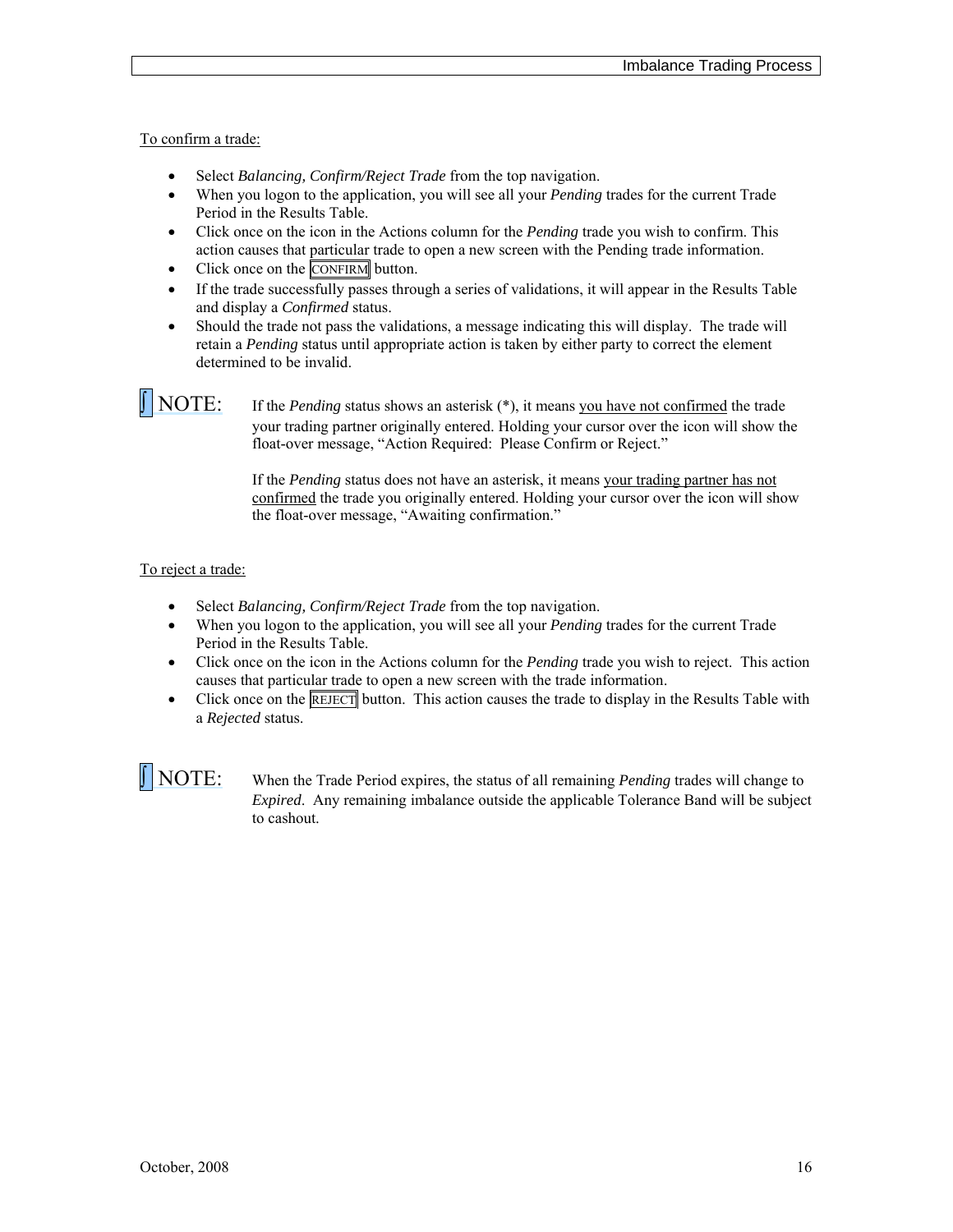To confirm a trade:

- Select *Balancing, Confirm/Reject Trade* from the top navigation.
- When you logon to the application, you will see all your *Pending* trades for the current Trade Period in the Results Table.
- Click once on the icon in the Actions column for the *Pending* trade you wish to confirm. This action causes that particular trade to open a new screen with the Pending trade information.
- Click once on the CONFIRM button.
- If the trade successfully passes through a series of validations, it will appear in the Results Table and display a *Confirmed* status.
- Should the trade not pass the validations, a message indicating this will display. The trade will retain a *Pending* status until appropriate action is taken by either party to correct the element determined to be invalid.

**NOTE:** If the *Pending* status shows an asterisk (\*), it means you have not confirmed the trade your trading partner originally entered. Holding your cursor over the icon will show the float-over message, "Action Required: Please Confirm or Reject."

> If the *Pending* status does not have an asterisk, it means your trading partner has not confirmed the trade you originally entered. Holding your cursor over the icon will show the float-over message, "Awaiting confirmation."

### To reject a trade:

- Select *Balancing, Confirm/Reject Trade* from the top navigation.
- When you logon to the application, you will see all your *Pending* trades for the current Trade Period in the Results Table.
- Click once on the icon in the Actions column for the *Pending* trade you wish to reject. This action causes that particular trade to open a new screen with the trade information.
- Click once on the  $REIET$  button. This action causes the trade to display in the Results Table with a *Rejected* status.

 NOTE: When the Trade Period expires, the status of all remaining *Pending* trades will change to *Expired*. Any remaining imbalance outside the applicable Tolerance Band will be subject to cashout.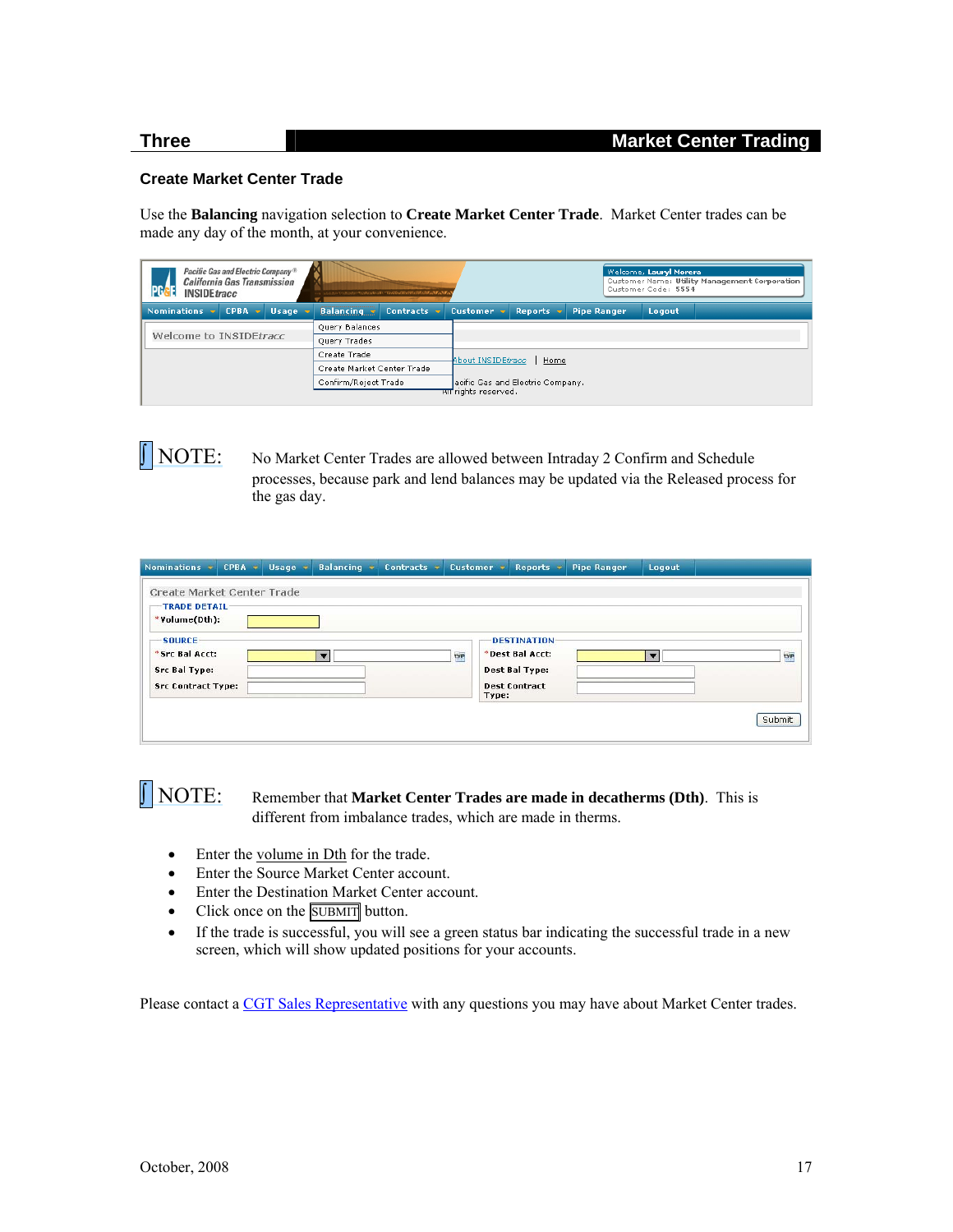#### <span id="page-16-0"></span>**Create Market Center Trade**

Use the **Balancing** navigation selection to **Create Market Center Trade**. Market Center trades can be made any day of the month, at your convenience.

| Pacific Gas and Electric Company <sup>®</sup><br><b>California Gas Transmission</b><br><b>INSIDEtracc</b> | ったらえらてつぶらぶってっていきょういういいで、"もいくけいてけいさけにさけにあるいちょうして。 | Welcome, Lauryl Morera<br>Customer Name: Utility Management Corporation<br>Customer Code: 5554 |  |  |  |  |  |
|-----------------------------------------------------------------------------------------------------------|--------------------------------------------------|------------------------------------------------------------------------------------------------|--|--|--|--|--|
| <b>CPBA</b><br><b>Nominations</b><br><b>Usage</b><br><b>START</b>                                         | <b>Balancing</b><br><b>Contracts</b>             | Customer $\mathbf{\overline{v}}$<br><b>Reports</b><br><b>Pipe Ranger</b><br>Logout             |  |  |  |  |  |
|                                                                                                           | Query Balances                                   |                                                                                                |  |  |  |  |  |
| Welcome to INSIDEtracc                                                                                    | Query Trades                                     |                                                                                                |  |  |  |  |  |
|                                                                                                           | Create Trade                                     | About INSIDEtracc<br>Home                                                                      |  |  |  |  |  |
|                                                                                                           | Create Market Center Trade                       |                                                                                                |  |  |  |  |  |
|                                                                                                           | Confirm/Reject Trade                             | acific Gas and Electric Company.<br>सा rights reserved.                                        |  |  |  |  |  |
|                                                                                                           |                                                  |                                                                                                |  |  |  |  |  |

 NOTE: No Market Center Trades are allowed between Intraday 2 Confirm and Schedule processes, because park and lend balances may be updated via the Released process for the gas day.

| Nominations *                                                                        | CPBA + | Usage + | <b>Balancing</b>        | Contracts * |            | Customer = | Reports $\rightarrow$                                                                  | <b>Pipe Ranger</b> | Logout                   |            |
|--------------------------------------------------------------------------------------|--------|---------|-------------------------|-------------|------------|------------|----------------------------------------------------------------------------------------|--------------------|--------------------------|------------|
| Create Market Center Trade<br>TRADE DETAIL:<br>*Volume(Dth):                         |        |         |                         |             |            |            |                                                                                        |                    |                          |            |
| <b>SOURCE</b><br>*Src Bal Acct:<br><b>Src Bal Type:</b><br><b>Src Contract Type:</b> |        |         | $\overline{\mathbf{v}}$ |             | <b>TYP</b> | Type:      | <b>DESTINATION</b><br>*Dest Bal Acct:<br><b>Dest Bal Type:</b><br><b>Dest Contract</b> |                    | $\overline{\phantom{a}}$ | <b>TYP</b> |
|                                                                                      |        |         |                         |             |            |            |                                                                                        |                    |                          | Submit     |

### NOTE: Remember that **Market Center Trades are made in decatherms (Dth)**. This is different from imbalance trades, which are made in therms.

- Enter the volume in Dth for the trade.
- Enter the Source Market Center account.
- Enter the Destination Market Center account.
- Click once on the SUBMIT button.
- If the trade is successful, you will see a green status bar indicating the successful trade in a new screen, which will show updated positions for your accounts.

Please contact a [CGT Sales Representative](http://www.pge.com/pipeline/about/contact/reps.shtml) with any questions you may have about Market Center trades.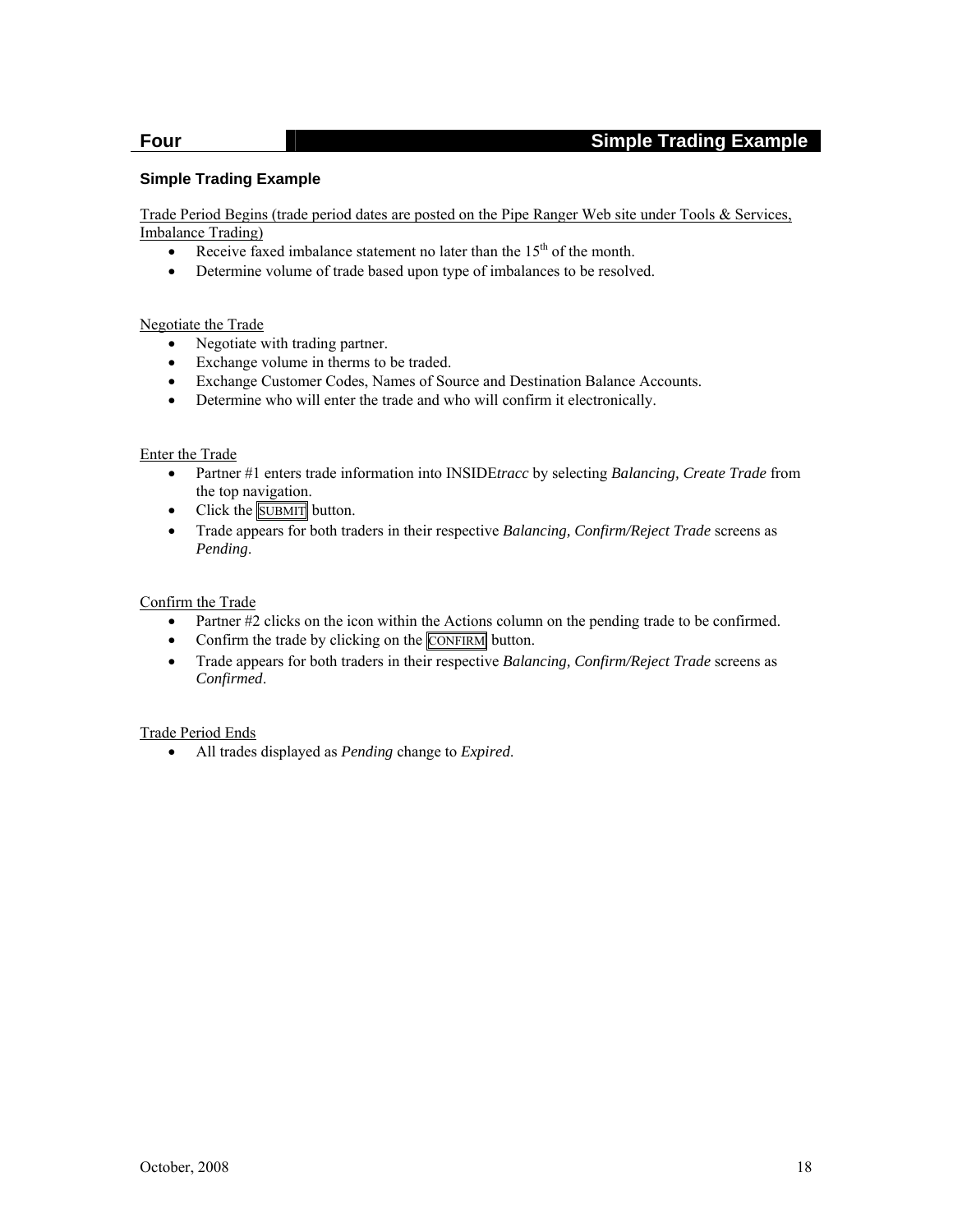### **Four Simple Trading Example**

#### <span id="page-17-0"></span>**Simple Trading Example**

Trade Period Begins (trade period dates are posted on the Pipe Ranger Web site under Tools & Services, Imbalance Trading)

- Receive faxed imbalance statement no later than the  $15<sup>th</sup>$  of the month.
- Determine volume of trade based upon type of imbalances to be resolved.

#### Negotiate the Trade

- Negotiate with trading partner.
- Exchange volume in therms to be traded.
- Exchange Customer Codes, Names of Source and Destination Balance Accounts.
- Determine who will enter the trade and who will confirm it electronically.

#### Enter the Trade

- Partner #1 enters trade information into INSIDE*tracc* by selecting *Balancing, Create Trade* from the top navigation.
- $\bullet$  Click the  $\overline{\text{SUBMIT}}$  button.
- Trade appears for both traders in their respective *Balancing, Confirm/Reject Trade* screens as *Pending*.

#### Confirm the Trade

- Partner #2 clicks on the icon within the Actions column on the pending trade to be confirmed.
- Confirm the trade by clicking on the CONFIRM button.
- Trade appears for both traders in their respective *Balancing, Confirm/Reject Trade* screens as *Confirmed*.

### Trade Period Ends

All trades displayed as *Pending* change to *Expired*.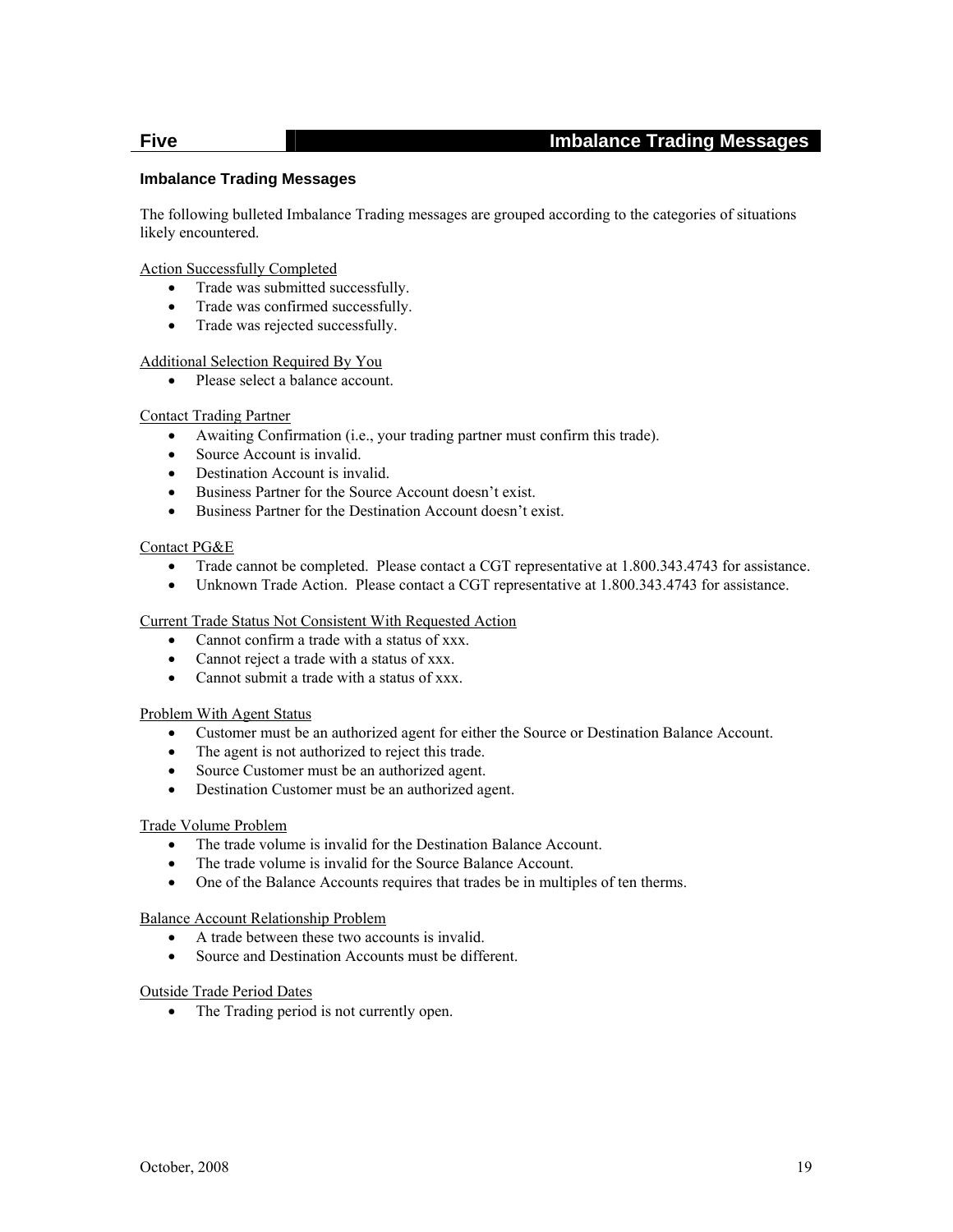### **Five Imbalance Trading Messages**

#### <span id="page-18-0"></span>**Imbalance Trading Messages**

The following bulleted Imbalance Trading messages are grouped according to the categories of situations likely encountered.

Action Successfully Completed

- Trade was submitted successfully.
- Trade was confirmed successfully.
- Trade was rejected successfully.

#### Additional Selection Required By You

• Please select a balance account.

#### Contact Trading Partner

- Awaiting Confirmation (i.e., your trading partner must confirm this trade).
- Source Account is invalid.
- Destination Account is invalid.
- Business Partner for the Source Account doesn't exist.
- Business Partner for the Destination Account doesn't exist.

#### Contact PG&E

- Trade cannot be completed. Please contact a CGT representative at 1.800.343.4743 for assistance.
- Unknown Trade Action. Please contact a CGT representative at 1.800.343.4743 for assistance.

#### Current Trade Status Not Consistent With Requested Action

- Cannot confirm a trade with a status of xxx.
- Cannot reject a trade with a status of xxx.
- Cannot submit a trade with a status of xxx.

#### Problem With Agent Status

- Customer must be an authorized agent for either the Source or Destination Balance Account.
- The agent is not authorized to reject this trade.
- Source Customer must be an authorized agent.
- Destination Customer must be an authorized agent.

#### Trade Volume Problem

- The trade volume is invalid for the Destination Balance Account.
- The trade volume is invalid for the Source Balance Account.
- One of the Balance Accounts requires that trades be in multiples of ten therms.

#### Balance Account Relationship Problem

- A trade between these two accounts is invalid.
- Source and Destination Accounts must be different.

#### Outside Trade Period Dates

• The Trading period is not currently open.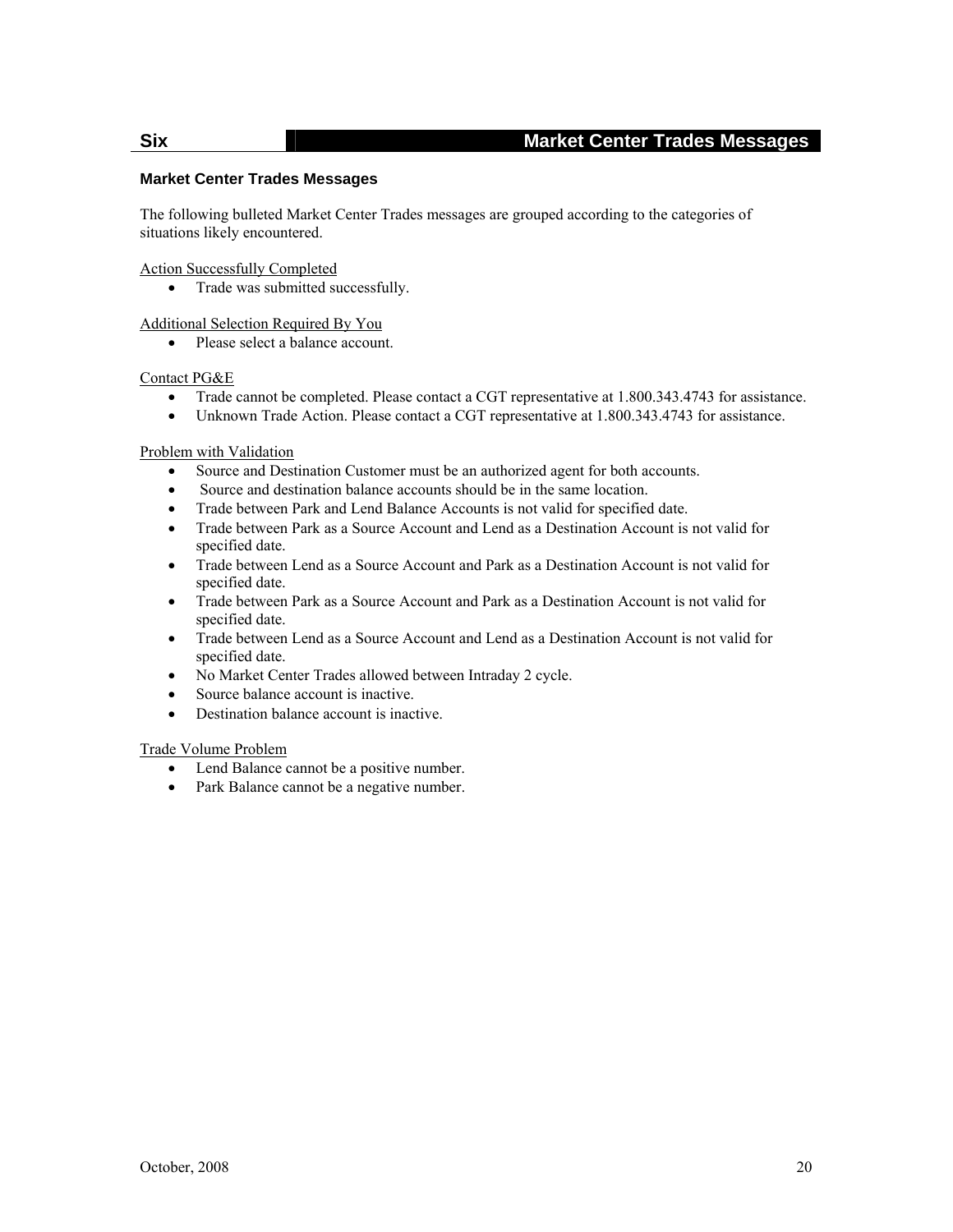### **Six Market Center Trades Messages**

### <span id="page-19-0"></span>**Market Center Trades Messages**

The following bulleted Market Center Trades messages are grouped according to the categories of situations likely encountered.

#### Action Successfully Completed

• Trade was submitted successfully.

Additional Selection Required By You

• Please select a balance account.

#### Contact PG&E

- Trade cannot be completed. Please contact a CGT representative at 1.800.343.4743 for assistance.
- Unknown Trade Action. Please contact a CGT representative at 1.800.343.4743 for assistance.

#### Problem with Validation

- Source and Destination Customer must be an authorized agent for both accounts.
- Source and destination balance accounts should be in the same location.
- Trade between Park and Lend Balance Accounts is not valid for specified date.
- Trade between Park as a Source Account and Lend as a Destination Account is not valid for specified date.
- Trade between Lend as a Source Account and Park as a Destination Account is not valid for specified date.
- Trade between Park as a Source Account and Park as a Destination Account is not valid for specified date.
- Trade between Lend as a Source Account and Lend as a Destination Account is not valid for specified date.
- No Market Center Trades allowed between Intraday 2 cycle.
- Source balance account is inactive.
- Destination balance account is inactive.

#### Trade Volume Problem

- Lend Balance cannot be a positive number.
- Park Balance cannot be a negative number.